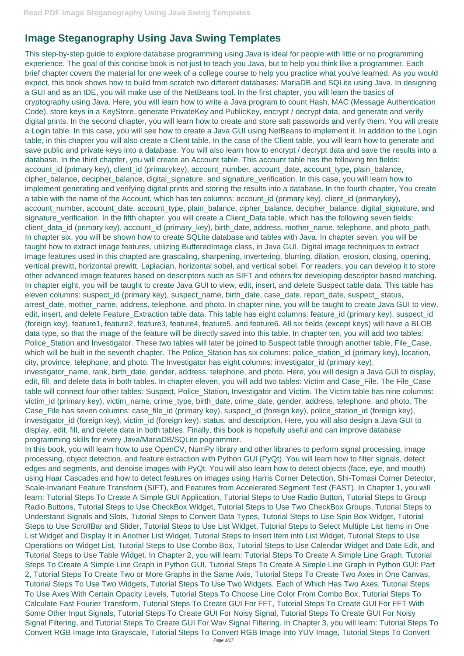This step-by-step guide to explore database programming using Java is ideal for people with little or no programming experience. The goal of this concise book is not just to teach you Java, but to help you think like a programmer. Each brief chapter covers the material for one week of a college course to help you practice what you've learned. As you would expect, this book shows how to build from scratch two different databases: MariaDB and SQLite using Java. In designing a GUI and as an IDE, you will make use of the NetBeans tool. In the first chapter, you will learn the basics of cryptography using Java. Here, you will learn how to write a Java program to count Hash, MAC (Message Authentication Code), store keys in a KeyStore, generate PrivateKey and PublicKey, encrypt / decrypt data, and generate and verify digital prints. In the second chapter, you will learn how to create and store salt passwords and verify them. You will create a Login table. In this case, you will see how to create a Java GUI using NetBeans to implement it. In addition to the Login table, in this chapter you will also create a Client table. In the case of the Client table, you will learn how to generate and save public and private keys into a database. You will also learn how to encrypt / decrypt data and save the results into a database. In the third chapter, you will create an Account table. This account table has the following ten fields: account\_id (primary key), client\_id (primarykey), account\_number, account\_date, account\_type, plain\_balance, cipher\_balance, decipher\_balance, digital\_signature, and signature\_verification. In this case, you will learn how to implement generating and verifying digital prints and storing the results into a database. In the fourth chapter, You create a table with the name of the Account, which has ten columns: account\_id (primary key), client\_id (primarykey), account\_number, account\_date, account\_type, plain\_balance, cipher\_balance, decipher\_balance, digital\_signature, and signature\_verification. In the fifth chapter, you will create a Client\_Data table, which has the following seven fields: client\_data\_id (primary key), account\_id (primary\_key), birth\_date, address, mother\_name, telephone, and photo\_path. In chapter six, you will be shown how to create SQLite database and tables with Java. In chapter seven, you will be taught how to extract image features, utilizing BufferedImage class, in Java GUI. Digital image techniques to extract image features used in this chapted are grascaling, sharpening, invertering, blurring, dilation, erosion, closing, opening, vertical prewitt, horizontal prewitt, Laplacian, horizontal sobel, and vertical sobel. For readers, you can develop it to store other advanced image features based on descriptors such as SIFT and others for developing descriptor based matching. In chapter eight, you will be taught to create Java GUI to view, edit, insert, and delete Suspect table data. This table has eleven columns: suspect\_id (primary key), suspect\_name, birth\_date, case\_date, report\_date, suspect\_ status, arrest\_date, mother\_name, address, telephone, and photo. In chapter nine, you will be taught to create Java GUI to view, edit, insert, and delete Feature\_Extraction table data. This table has eight columns: feature\_id (primary key), suspect\_id (foreign key), feature1, feature2, feature3, feature4, feature5, and feature6. All six fields (except keys) will have a BLOB data type, so that the image of the feature will be directly saved into this table. In chapter ten, you will add two tables: Police\_Station and Investigator. These two tables will later be joined to Suspect table through another table, File\_Case, which will be built in the seventh chapter. The Police\_Station has six columns: police\_station\_id (primary key), location, city, province, telephone, and photo. The Investigator has eight columns: investigator\_id (primary key), investigator\_name, rank, birth\_date, gender, address, telephone, and photo. Here, you will design a Java GUI to display, edit, fill, and delete data in both tables. In chapter eleven, you will add two tables: Victim and Case\_File. The File\_Case table will connect four other tables: Suspect, Police\_Station, Investigator and Victim. The Victim table has nine columns: victim\_id (primary key), victim\_name, crime\_type, birth\_date, crime\_date, gender, address, telephone, and photo. The Case\_File has seven columns: case\_file\_id (primary key), suspect\_id (foreign key), police\_station\_id (foreign key), investigator\_id (foreign key), victim\_id (foreign key), status, and description. Here, you will also design a Java GUI to display, edit, fill, and delete data in both tables. Finally, this book is hopefully useful and can improve database programming skills for every Java/MariaDB/SQLite pogrammer.

In this book, you will learn how to use OpenCV, NumPy library and other libraries to perform signal processing, image processing, object detection, and feature extraction with Python GUI (PyQt). You will learn how to filter signals, detect edges and segments, and denoise images with PyQt. You will also learn how to detect objects (face, eye, and mouth) using Haar Cascades and how to detect features on images using Harris Corner Detection, Shi-Tomasi Corner Detector, Scale-Invariant Feature Transform (SIFT), and Features from Accelerated Segment Test (FAST). In Chapter 1, you will learn: Tutorial Steps To Create A Simple GUI Application, Tutorial Steps to Use Radio Button, Tutorial Steps to Group Radio Buttons, Tutorial Steps to Use CheckBox Widget, Tutorial Steps to Use Two CheckBox Groups, Tutorial Steps to Understand Signals and Slots, Tutorial Steps to Convert Data Types, Tutorial Steps to Use Spin Box Widget, Tutorial Steps to Use ScrollBar and Slider, Tutorial Steps to Use List Widget, Tutorial Steps to Select Multiple List Items in One List Widget and Display It in Another List Widget, Tutorial Steps to Insert Item into List Widget, Tutorial Steps to Use Operations on Widget List, Tutorial Steps to Use Combo Box, Tutorial Steps to Use Calendar Widget and Date Edit, and Tutorial Steps to Use Table Widget. In Chapter 2, you will learn: Tutorial Steps To Create A Simple Line Graph, Tutorial Steps To Create A Simple Line Graph in Python GUI, Tutorial Steps To Create A Simple Line Graph in Python GUI: Part 2, Tutorial Steps To Create Two or More Graphs in the Same Axis, Tutorial Steps To Create Two Axes in One Canvas, Tutorial Steps To Use Two Widgets, Tutorial Steps To Use Two Widgets, Each of Which Has Two Axes, Tutorial Steps To Use Axes With Certain Opacity Levels, Tutorial Steps To Choose Line Color From Combo Box, Tutorial Steps To Calculate Fast Fourier Transform, Tutorial Steps To Create GUI For FFT, Tutorial Steps To Create GUI For FFT With Some Other Input Signals, Tutorial Steps To Create GUI For Noisy Signal, Tutorial Steps To Create GUI For Noisy Signal Filtering, and Tutorial Steps To Create GUI For Wav Signal Filtering. In Chapter 3, you will learn: Tutorial Steps To Convert RGB Image Into Grayscale, Tutorial Steps To Convert RGB Image Into YUV Image, Tutorial Steps To Convert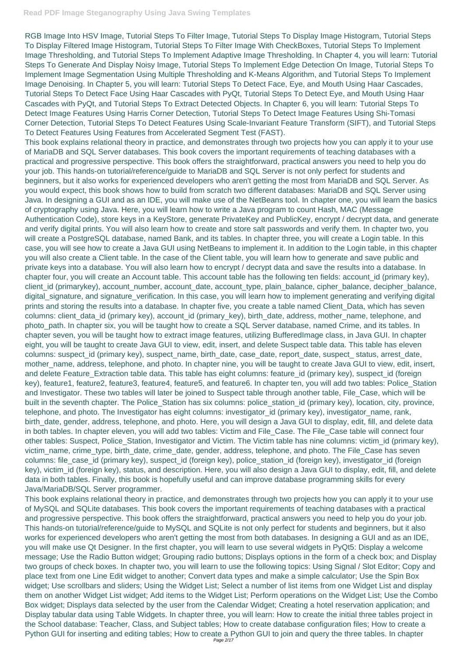RGB Image Into HSV Image, Tutorial Steps To Filter Image, Tutorial Steps To Display Image Histogram, Tutorial Steps To Display Filtered Image Histogram, Tutorial Steps To Filter Image With CheckBoxes, Tutorial Steps To Implement Image Thresholding, and Tutorial Steps To Implement Adaptive Image Thresholding. In Chapter 4, you will learn: Tutorial Steps To Generate And Display Noisy Image, Tutorial Steps To Implement Edge Detection On Image, Tutorial Steps To Implement Image Segmentation Using Multiple Thresholding and K-Means Algorithm, and Tutorial Steps To Implement Image Denoising. In Chapter 5, you will learn: Tutorial Steps To Detect Face, Eye, and Mouth Using Haar Cascades, Tutorial Steps To Detect Face Using Haar Cascades with PyQt, Tutorial Steps To Detect Eye, and Mouth Using Haar Cascades with PyQt, and Tutorial Steps To Extract Detected Objects. In Chapter 6, you will learn: Tutorial Steps To Detect Image Features Using Harris Corner Detection, Tutorial Steps To Detect Image Features Using Shi-Tomasi Corner Detection, Tutorial Steps To Detect Features Using Scale-Invariant Feature Transform (SIFT), and Tutorial Steps To Detect Features Using Features from Accelerated Segment Test (FAST).

This book explains relational theory in practice, and demonstrates through two projects how you can apply it to your use of MariaDB and SQL Server databases. This book covers the important requirements of teaching databases with a practical and progressive perspective. This book offers the straightforward, practical answers you need to help you do your job. This hands-on tutorial/reference/guide to MariaDB and SQL Server is not only perfect for students and beginners, but it also works for experienced developers who aren't getting the most from MariaDB and SQL Server. As you would expect, this book shows how to build from scratch two different databases: MariaDB and SQL Server using Java. In designing a GUI and as an IDE, you will make use of the NetBeans tool. In chapter one, you will learn the basics of cryptography using Java. Here, you will learn how to write a Java program to count Hash, MAC (Message Authentication Code), store keys in a KeyStore, generate PrivateKey and PublicKey, encrypt / decrypt data, and generate and verify digital prints. You will also learn how to create and store salt passwords and verify them. In chapter two, you will create a PostgreSQL database, named Bank, and its tables. In chapter three, you will create a Login table. In this case, you will see how to create a Java GUI using NetBeans to implement it. In addition to the Login table, in this chapter you will also create a Client table. In the case of the Client table, you will learn how to generate and save public and private keys into a database. You will also learn how to encrypt / decrypt data and save the results into a database. In chapter four, you will create an Account table. This account table has the following ten fields: account\_id (primary key), client\_id (primarykey), account\_number, account\_date, account\_type, plain\_balance, cipher\_balance, decipher\_balance, digital\_signature, and signature\_verification. In this case, you will learn how to implement generating and verifying digital prints and storing the results into a database. In chapter five, you create a table named Client\_Data, which has seven columns: client\_data\_id (primary key), account\_id (primary\_key), birth\_date, address, mother\_name, telephone, and photo\_path. In chapter six, you will be taught how to create a SQL Server database, named Crime, and its tables. In chapter seven, you will be taught how to extract image features, utilizing BufferedImage class, in Java GUI. In chapter eight, you will be taught to create Java GUI to view, edit, insert, and delete Suspect table data. This table has eleven columns: suspect\_id (primary key), suspect\_name, birth\_date, case\_date, report\_date, suspect\_status, arrest\_date, mother\_name, address, telephone, and photo. In chapter nine, you will be taught to create Java GUI to view, edit, insert, and delete Feature\_Extraction table data. This table has eight columns: feature\_id (primary key), suspect\_id (foreign key), feature1, feature2, feature3, feature4, feature5, and feature6. In chapter ten, you will add two tables: Police\_Station and Investigator. These two tables will later be joined to Suspect table through another table, File\_Case, which will be built in the seventh chapter. The Police\_Station has six columns: police\_station\_id (primary key), location, city, province, telephone, and photo. The Investigator has eight columns: investigator\_id (primary key), investigator\_name, rank, birth\_date, gender, address, telephone, and photo. Here, you will design a Java GUI to display, edit, fill, and delete data in both tables. In chapter eleven, you will add two tables: Victim and File\_Case. The File\_Case table will connect four other tables: Suspect, Police\_Station, Investigator and Victim. The Victim table has nine columns: victim\_id (primary key), victim\_name, crime\_type, birth\_date, crime\_date, gender, address, telephone, and photo. The File\_Case has seven columns: file\_case\_id (primary key), suspect\_id (foreign key), police\_station\_id (foreign key), investigator\_id (foreign key), victim\_id (foreign key), status, and description. Here, you will also design a Java GUI to display, edit, fill, and delete data in both tables. Finally, this book is hopefully useful and can improve database programming skills for every Java/MariaDB/SQL Server programmer. This book explains relational theory in practice, and demonstrates through two projects how you can apply it to your use of MySQL and SQLite databases. This book covers the important requirements of teaching databases with a practical and progressive perspective. This book offers the straightforward, practical answers you need to help you do your job. This hands-on tutorial/reference/guide to MySQL and SQLite is not only perfect for students and beginners, but it also works for experienced developers who aren't getting the most from both databases. In designing a GUI and as an IDE, you will make use Qt Designer. In the first chapter, you will learn to use several widgets in PyQt5: Display a welcome message; Use the Radio Button widget; Grouping radio buttons; Displays options in the form of a check box; and Display two groups of check boxes. In chapter two, you will learn to use the following topics: Using Signal / Slot Editor; Copy and place text from one Line Edit widget to another; Convert data types and make a simple calculator; Use the Spin Box widget; Use scrollbars and sliders; Using the Widget List; Select a number of list items from one Widget List and display them on another Widget List widget; Add items to the Widget List; Perform operations on the Widget List; Use the Combo Box widget; Displays data selected by the user from the Calendar Widget; Creating a hotel reservation application; and Display tabular data using Table Widgets. In chapter three, you will learn: How to create the initial three tables project in the School database: Teacher, Class, and Subject tables; How to create database configuration files; How to create a Python GUI for inserting and editing tables; How to create a Python GUI to join and query the three tables. In chapter Page 2/17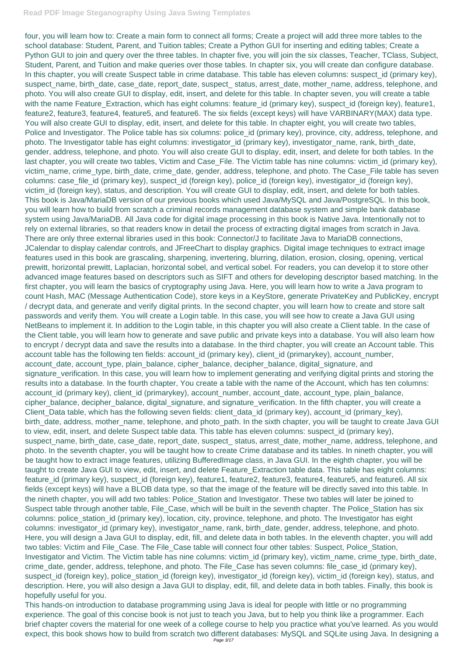four, you will learn how to: Create a main form to connect all forms; Create a project will add three more tables to the school database: Student, Parent, and Tuition tables; Create a Python GUI for inserting and editing tables; Create a Python GUI to join and query over the three tables. In chapter five, you will join the six classes, Teacher, TClass, Subject, Student, Parent, and Tuition and make queries over those tables. In chapter six, you will create dan configure database. In this chapter, you will create Suspect table in crime database. This table has eleven columns: suspect\_id (primary key), suspect\_name, birth\_date, case\_date, report\_date, suspect\_ status, arrest\_date, mother\_name, address, telephone, and photo. You will also create GUI to display, edit, insert, and delete for this table. In chapter seven, you will create a table with the name Feature\_Extraction, which has eight columns: feature\_id (primary key), suspect\_id (foreign key), feature1, feature2, feature3, feature4, feature5, and feature6. The six fields (except keys) will have VARBINARY(MAX) data type. You will also create GUI to display, edit, insert, and delete for this table. In chapter eight, you will create two tables, Police and Investigator. The Police table has six columns: police\_id (primary key), province, city, address, telephone, and photo. The Investigator table has eight columns: investigator id (primary key), investigator name, rank, birth\_date, gender, address, telephone, and photo. You will also create GUI to display, edit, insert, and delete for both tables. In the last chapter, you will create two tables, Victim and Case\_File. The Victim table has nine columns: victim\_id (primary key), victim\_name, crime\_type, birth\_date, crime\_date, gender, address, telephone, and photo. The Case\_File table has seven columns: case\_file\_id (primary key), suspect\_id (foreign key), police\_id (foreign key), investigator\_id (foreign key), victim\_id (foreign key), status, and description. You will create GUI to display, edit, insert, and delete for both tables. This book is Java/MariaDB version of our previous books which used Java/MySQL and Java/PostgreSQL. In this book, you will learn how to build from scratch a criminal records management database system and simple bank database system using Java/MariaDB. All Java code for digital image processing in this book is Native Java. Intentionally not to rely on external libraries, so that readers know in detail the process of extracting digital images from scratch in Java. There are only three external libraries used in this book: Connector/J to facilitate Java to MariaDB connections, JCalendar to display calendar controls, and JFreeChart to display graphics. Digital image techniques to extract image features used in this book are grascaling, sharpening, invertering, blurring, dilation, erosion, closing, opening, vertical prewitt, horizontal prewitt, Laplacian, horizontal sobel, and vertical sobel. For readers, you can develop it to store other advanced image features based on descriptors such as SIFT and others for developing descriptor based matching. In the first chapter, you will learn the basics of cryptography using Java. Here, you will learn how to write a Java program to count Hash, MAC (Message Authentication Code), store keys in a KeyStore, generate PrivateKey and PublicKey, encrypt / decrypt data, and generate and verify digital prints. In the second chapter, you will learn how to create and store salt passwords and verify them. You will create a Login table. In this case, you will see how to create a Java GUI using NetBeans to implement it. In addition to the Login table, in this chapter you will also create a Client table. In the case of the Client table, you will learn how to generate and save public and private keys into a database. You will also learn how to encrypt / decrypt data and save the results into a database. In the third chapter, you will create an Account table. This account table has the following ten fields: account\_id (primary key), client\_id (primarykey), account\_number, account\_date, account\_type, plain\_balance, cipher\_balance, decipher\_balance, digital\_signature, and signature\_verification. In this case, you will learn how to implement generating and verifying digital prints and storing the results into a database. In the fourth chapter, You create a table with the name of the Account, which has ten columns: account\_id (primary key), client\_id (primarykey), account\_number, account\_date, account\_type, plain\_balance, cipher\_balance, decipher\_balance, digital\_signature, and signature\_verification. In the fifth chapter, you will create a Client\_Data table, which has the following seven fields: client\_data\_id (primary key), account\_id (primary\_key), birth\_date, address, mother\_name, telephone, and photo\_path. In the sixth chapter, you will be taught to create Java GUI to view, edit, insert, and delete Suspect table data. This table has eleven columns: suspect\_id (primary key), suspect\_name, birth\_date, case\_date, report\_date, suspect\_ status, arrest\_date, mother\_name, address, telephone, and photo. In the seventh chapter, you will be taught how to create Crime database and its tables. In nineth chapter, you will be taught how to extract image features, utilizing BufferedImage class, in Java GUI. In the eighth chapter, you will be taught to create Java GUI to view, edit, insert, and delete Feature\_Extraction table data. This table has eight columns: feature\_id (primary key), suspect\_id (foreign key), feature1, feature2, feature3, feature4, feature5, and feature6. All six fields (except keys) will have a BLOB data type, so that the image of the feature will be directly saved into this table. In the nineth chapter, you will add two tables: Police\_Station and Investigator. These two tables will later be joined to Suspect table through another table, File\_Case, which will be built in the seventh chapter. The Police\_Station has six columns: police\_station\_id (primary key), location, city, province, telephone, and photo. The Investigator has eight columns: investigator\_id (primary key), investigator\_name, rank, birth\_date, gender, address, telephone, and photo. Here, you will design a Java GUI to display, edit, fill, and delete data in both tables. In the eleventh chapter, you will add two tables: Victim and File\_Case. The File\_Case table will connect four other tables: Suspect, Police\_Station, Investigator and Victim. The Victim table has nine columns: victim\_id (primary key), victim\_name, crime\_type, birth\_date, crime\_date, gender, address, telephone, and photo. The File\_Case has seven columns: file\_case\_id (primary key), suspect id (foreign key), police station id (foreign key), investigator id (foreign key), victim id (foreign key), status, and description. Here, you will also design a Java GUI to display, edit, fill, and delete data in both tables. Finally, this book is hopefully useful for you. This hands-on introduction to database programming using Java is ideal for people with little or no programming experience. The goal of this concise book is not just to teach you Java, but to help you think like a programmer. Each brief chapter covers the material for one week of a college course to help you practice what you've learned. As you would expect, this book shows how to build from scratch two different databases: MySQL and SQLite using Java. In designing a Page 3/17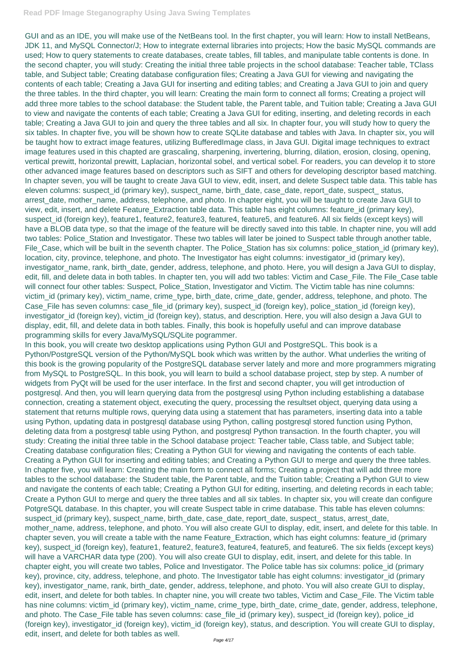GUI and as an IDE, you will make use of the NetBeans tool. In the first chapter, you will learn: How to install NetBeans, JDK 11, and MySQL Connector/J; How to integrate external libraries into projects; How the basic MySQL commands are used; How to query statements to create databases, create tables, fill tables, and manipulate table contents is done. In the second chapter, you will study: Creating the initial three table projects in the school database: Teacher table, TClass table, and Subject table; Creating database configuration files; Creating a Java GUI for viewing and navigating the contents of each table; Creating a Java GUI for inserting and editing tables; and Creating a Java GUI to join and query the three tables. In the third chapter, you will learn: Creating the main form to connect all forms; Creating a project will add three more tables to the school database: the Student table, the Parent table, and Tuition table; Creating a Java GUI to view and navigate the contents of each table; Creating a Java GUI for editing, inserting, and deleting records in each table; Creating a Java GUI to join and query the three tables and all six. In chapter four, you will study how to query the six tables. In chapter five, you will be shown how to create SQLite database and tables with Java. In chapter six, you will be taught how to extract image features, utilizing BufferedImage class, in Java GUI. Digital image techniques to extract image features used in this chapted are grascaling, sharpening, invertering, blurring, dilation, erosion, closing, opening, vertical prewitt, horizontal prewitt, Laplacian, horizontal sobel, and vertical sobel. For readers, you can develop it to store other advanced image features based on descriptors such as SIFT and others for developing descriptor based matching. In chapter seven, you will be taught to create Java GUI to view, edit, insert, and delete Suspect table data. This table has eleven columns: suspect\_id (primary key), suspect\_name, birth\_date, case\_date, report\_date, suspect\_ status, arrest\_date, mother\_name, address, telephone, and photo. In chapter eight, you will be taught to create Java GUI to view, edit, insert, and delete Feature\_Extraction table data. This table has eight columns: feature\_id (primary key), suspect\_id (foreign key), feature1, feature2, feature3, feature4, feature5, and feature6. All six fields (except keys) will have a BLOB data type, so that the image of the feature will be directly saved into this table. In chapter nine, you will add two tables: Police\_Station and Investigator. These two tables will later be joined to Suspect table through another table, File\_Case, which will be built in the seventh chapter. The Police\_Station has six columns: police\_station\_id (primary key), location, city, province, telephone, and photo. The Investigator has eight columns: investigator\_id (primary key), investigator\_name, rank, birth\_date, gender, address, telephone, and photo. Here, you will design a Java GUI to display, edit, fill, and delete data in both tables. In chapter ten, you will add two tables: Victim and Case\_File. The File\_Case table will connect four other tables: Suspect, Police\_Station, Investigator and Victim. The Victim table has nine columns: victim\_id (primary key), victim\_name, crime\_type, birth\_date, crime\_date, gender, address, telephone, and photo. The Case\_File has seven columns: case\_file\_id (primary key), suspect\_id (foreign key), police\_station\_id (foreign key), investigator id (foreign key), victim id (foreign key), status, and description. Here, you will also design a Java GUI to display, edit, fill, and delete data in both tables. Finally, this book is hopefully useful and can improve database programming skills for every Java/MySQL/SQLite pogrammer.

In this book, you will create two desktop applications using Python GUI and PostgreSQL. This book is a Python/PostgreSQL version of the Python/MySQL book which was written by the author. What underlies the writing of this book is the growing popularity of the PostgreSQL database server lately and more and more programmers migrating from MySQL to PostgreSQL. In this book, you will learn to build a school database project, step by step. A number of widgets from PyQt will be used for the user interface. In the first and second chapter, you will get introduction of postgresql. And then, you will learn querying data from the postgresql using Python including establishing a database connection, creating a statement object, executing the query, processing the resultset object, querying data using a statement that returns multiple rows, querying data using a statement that has parameters, inserting data into a table using Python, updating data in postgresql database using Python, calling postgresql stored function using Python, deleting data from a postgresql table using Python, and postgresql Python transaction. In the fourth chapter, you will study: Creating the initial three table in the School database project: Teacher table, Class table, and Subject table; Creating database configuration files; Creating a Python GUI for viewing and navigating the contents of each table. Creating a Python GUI for inserting and editing tables; and Creating a Python GUI to merge and query the three tables. In chapter five, you will learn: Creating the main form to connect all forms; Creating a project that will add three more tables to the school database: the Student table, the Parent table, and the Tuition table; Creating a Python GUI to view and navigate the contents of each table; Creating a Python GUI for editing, inserting, and deleting records in each table; Create a Python GUI to merge and query the three tables and all six tables. In chapter six, you will create dan configure PotgreSQL database. In this chapter, you will create Suspect table in crime database. This table has eleven columns: suspect\_id (primary key), suspect\_name, birth\_date, case\_date, report\_date, suspect\_ status, arrest\_date, mother\_name, address, telephone, and photo. You will also create GUI to display, edit, insert, and delete for this table. In chapter seven, you will create a table with the name Feature\_Extraction, which has eight columns: feature\_id (primary key), suspect\_id (foreign key), feature1, feature2, feature3, feature4, feature5, and feature6. The six fields (except keys) will have a VARCHAR data type (200). You will also create GUI to display, edit, insert, and delete for this table. In chapter eight, you will create two tables, Police and Investigator. The Police table has six columns: police\_id (primary key), province, city, address, telephone, and photo. The Investigator table has eight columns: investigator\_id (primary key), investigator\_name, rank, birth\_date, gender, address, telephone, and photo. You will also create GUI to display, edit, insert, and delete for both tables. In chapter nine, you will create two tables, Victim and Case\_File. The Victim table has nine columns: victim\_id (primary key), victim\_name, crime\_type, birth\_date, crime\_date, gender, address, telephone, and photo. The Case\_File table has seven columns: case\_file\_id (primary key), suspect\_id (foreign key), police\_id (foreign key), investigator\_id (foreign key), victim\_id (foreign key), status, and description. You will create GUI to display, edit, insert, and delete for both tables as well.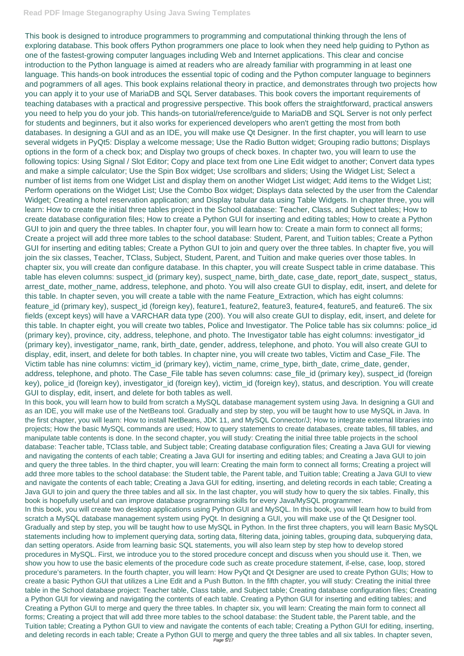This book is designed to introduce programmers to programming and computational thinking through the lens of exploring database. This book offers Python programmers one place to look when they need help guiding to Python as one of the fastest-growing computer languages including Web and Internet applications. This clear and concise introduction to the Python language is aimed at readers who are already familiar with programming in at least one language. This hands-on book introduces the essential topic of coding and the Python computer language to beginners and pogrammers of all ages. This book explains relational theory in practice, and demonstrates through two projects how you can apply it to your use of MariaDB and SQL Server databases. This book covers the important requirements of teaching databases with a practical and progressive perspective. This book offers the straightforward, practical answers you need to help you do your job. This hands-on tutorial/reference/guide to MariaDB and SQL Server is not only perfect for students and beginners, but it also works for experienced developers who aren't getting the most from both databases. In designing a GUI and as an IDE, you will make use Qt Designer. In the first chapter, you will learn to use several widgets in PyQt5: Display a welcome message; Use the Radio Button widget; Grouping radio buttons; Displays options in the form of a check box; and Display two groups of check boxes. In chapter two, you will learn to use the following topics: Using Signal / Slot Editor; Copy and place text from one Line Edit widget to another; Convert data types and make a simple calculator; Use the Spin Box widget; Use scrollbars and sliders; Using the Widget List; Select a number of list items from one Widget List and display them on another Widget List widget; Add items to the Widget List; Perform operations on the Widget List; Use the Combo Box widget; Displays data selected by the user from the Calendar Widget; Creating a hotel reservation application; and Display tabular data using Table Widgets. In chapter three, you will learn: How to create the initial three tables project in the School database: Teacher, Class, and Subject tables; How to create database configuration files; How to create a Python GUI for inserting and editing tables; How to create a Python GUI to join and query the three tables. In chapter four, you will learn how to: Create a main form to connect all forms; Create a project will add three more tables to the school database: Student, Parent, and Tuition tables; Create a Python GUI for inserting and editing tables; Create a Python GUI to join and query over the three tables. In chapter five, you will join the six classes, Teacher, TClass, Subject, Student, Parent, and Tuition and make queries over those tables. In chapter six, you will create dan configure database. In this chapter, you will create Suspect table in crime database. This table has eleven columns: suspect\_id (primary key), suspect\_name, birth\_date, case\_date, report\_date, suspect\_status, arrest\_date, mother\_name, address, telephone, and photo. You will also create GUI to display, edit, insert, and delete for this table. In chapter seven, you will create a table with the name Feature\_Extraction, which has eight columns: feature\_id (primary key), suspect\_id (foreign key), feature1, feature2, feature3, feature4, feature5, and feature6. The six fields (except keys) will have a VARCHAR data type (200). You will also create GUI to display, edit, insert, and delete for this table. In chapter eight, you will create two tables, Police and Investigator. The Police table has six columns: police\_id (primary key), province, city, address, telephone, and photo. The Investigator table has eight columns: investigator\_id (primary key), investigator\_name, rank, birth\_date, gender, address, telephone, and photo. You will also create GUI to display, edit, insert, and delete for both tables. In chapter nine, you will create two tables, Victim and Case\_File. The Victim table has nine columns: victim\_id (primary key), victim\_name, crime\_type, birth\_date, crime\_date, gender, address, telephone, and photo. The Case\_File table has seven columns: case\_file\_id (primary key), suspect\_id (foreign key), police\_id (foreign key), investigator\_id (foreign key), victim\_id (foreign key), status, and description. You will create GUI to display, edit, insert, and delete for both tables as well.

In this book, you will learn how to build from scratch a MySQL database management system using Java. In designing a GUI and as an IDE, you will make use of the NetBeans tool. Gradually and step by step, you will be taught how to use MySQL in Java. In the first chapter, you will learn: How to install NetBeans, JDK 11, and MySQL Connector/J; How to integrate external libraries into projects; How the basic MySQL commands are used; How to query statements to create databases, create tables, fill tables, and manipulate table contents is done. In the second chapter, you will study: Creating the initial three table projects in the school database: Teacher table, TClass table, and Subject table; Creating database configuration files; Creating a Java GUI for viewing and navigating the contents of each table; Creating a Java GUI for inserting and editing tables; and Creating a Java GUI to join and query the three tables. In the third chapter, you will learn: Creating the main form to connect all forms; Creating a project will add three more tables to the school database: the Student table, the Parent table, and Tuition table; Creating a Java GUI to view and navigate the contents of each table; Creating a Java GUI for editing, inserting, and deleting records in each table; Creating a Java GUI to join and query the three tables and all six. In the last chapter, you will study how to query the six tables. Finally, this book is hopefully useful and can improve database programming skills for every Java/MySQL programmer. In this book, you will create two desktop applications using Python GUI and MySQL. In this book, you will learn how to build from scratch a MySQL database management system using PyQt. In designing a GUI, you will make use of the Qt Designer tool. Gradually and step by step, you will be taught how to use MySQL in Python. In the first three chapters, you will learn Basic MySQL statements including how to implement querying data, sorting data, filtering data, joining tables, grouping data, subquerying data, dan setting operators. Aside from learning basic SQL statements, you will also learn step by step how to develop stored procedures in MySQL. First, we introduce you to the stored procedure concept and discuss when you should use it. Then, we show you how to use the basic elements of the procedure code such as create procedure statement, if-else, case, loop, stored procedure's parameters. In the fourth chapter, you will learn: How PyQt and Qt Designer are used to create Python GUIs; How to create a basic Python GUI that utilizes a Line Edit and a Push Button. In the fifth chapter, you will study: Creating the initial three table in the School database project: Teacher table, Class table, and Subject table; Creating database configuration files; Creating a Python GUI for viewing and navigating the contents of each table. Creating a Python GUI for inserting and editing tables; and Creating a Python GUI to merge and query the three tables. In chapter six, you will learn: Creating the main form to connect all forms; Creating a project that will add three more tables to the school database: the Student table, the Parent table, and the Tuition table; Creating a Python GUI to view and navigate the contents of each table; Creating a Python GUI for editing, inserting, and deleting records in each table; Create a Python GUI to merge and query the three tables and all six tables. In chapter seven, Page 5/17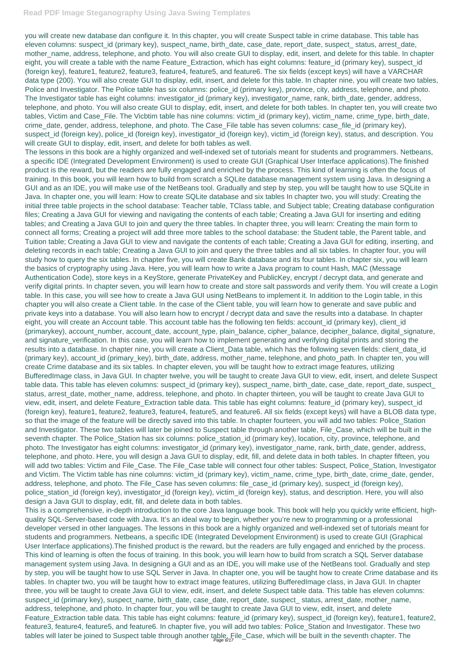you will create new database dan configure it. In this chapter, you will create Suspect table in crime database. This table has eleven columns: suspect\_id (primary key), suspect\_name, birth\_date, case\_date, report\_date, suspect\_ status, arrest\_date, mother\_name, address, telephone, and photo. You will also create GUI to display, edit, insert, and delete for this table. In chapter eight, you will create a table with the name Feature\_Extraction, which has eight columns: feature\_id (primary key), suspect\_id (foreign key), feature1, feature2, feature3, feature4, feature5, and feature6. The six fields (except keys) will have a VARCHAR data type (200). You will also create GUI to display, edit, insert, and delete for this table. In chapter nine, you will create two tables, Police and Investigator. The Police table has six columns: police\_id (primary key), province, city, address, telephone, and photo. The Investigator table has eight columns: investigator\_id (primary key), investigator\_name, rank, birth\_date, gender, address, telephone, and photo. You will also create GUI to display, edit, insert, and delete for both tables. In chapter ten, you will create two tables, Victim and Case\_File. The Vicbtim table has nine columns: victim\_id (primary key), victim\_name, crime\_type, birth\_date, crime\_date, gender, address, telephone, and photo. The Case\_File table has seven columns: case\_file\_id (primary key), suspect\_id (foreign key), police\_id (foreign key), investigator\_id (foreign key), victim\_id (foreign key), status, and description. You will create GUI to display, edit, insert, and delete for both tables as well.

This is a comprehensive, in-depth introduction to the core Java language book. This book will help you quickly write efficient, highquality SQL-Server-based code with Java. It's an ideal way to begin, whether you're new to programming or a professional developer versed in other languages. The lessons in this book are a highly organized and well-indexed set of tutorials meant for students and programmers. Netbeans, a specific IDE (Integrated Development Environment) is used to create GUI (Graphical User Interface applications).The finished product is the reward, but the readers are fully engaged and enriched by the process. This kind of learning is often the focus of training. In this book, you will learn how to build from scratch a SQL Server database management system using Java. In designing a GUI and as an IDE, you will make use of the NetBeans tool. Gradually and step by step, you will be taught how to use SQL Server in Java. In chapter one, you will be taught how to create Crime database and its tables. In chapter two, you will be taught how to extract image features, utilizing BufferedImage class, in Java GUI. In chapter three, you will be taught to create Java GUI to view, edit, insert, and delete Suspect table data. This table has eleven columns: suspect id (primary key), suspect name, birth date, case date, report date, suspect status, arrest date, mother name, address, telephone, and photo. In chapter four, you will be taught to create Java GUI to view, edit, insert, and delete Feature Extraction table data. This table has eight columns: feature id (primary key), suspect id (foreign key), feature1, feature2, feature3, feature4, feature5, and feature6. In chapter five, you will add two tables: Police\_Station and Investigator. These two tables will later be joined to Suspect table through another table, File\_Case, which will be built in the seventh chapter. The

The lessons in this book are a highly organized and well-indexed set of tutorials meant for students and programmers. Netbeans, a specific IDE (Integrated Development Environment) is used to create GUI (Graphical User Interface applications).The finished product is the reward, but the readers are fully engaged and enriched by the process. This kind of learning is often the focus of training. In this book, you will learn how to build from scratch a SQLite database management system using Java. In designing a GUI and as an IDE, you will make use of the NetBeans tool. Gradually and step by step, you will be taught how to use SQLite in Java. In chapter one, you will learn: How to create SQLite database and six tables In chapter two, you will study: Creating the initial three table projects in the school database: Teacher table, TClass table, and Subject table; Creating database configuration files; Creating a Java GUI for viewing and navigating the contents of each table; Creating a Java GUI for inserting and editing tables; and Creating a Java GUI to join and query the three tables. In chapter three, you will learn: Creating the main form to connect all forms; Creating a project will add three more tables to the school database: the Student table, the Parent table, and Tuition table; Creating a Java GUI to view and navigate the contents of each table; Creating a Java GUI for editing, inserting, and deleting records in each table; Creating a Java GUI to join and query the three tables and all six tables. In chapter four, you will study how to query the six tables. In chapter five, you will create Bank database and its four tables. In chapter six, you will learn the basics of cryptography using Java. Here, you will learn how to write a Java program to count Hash, MAC (Message Authentication Code), store keys in a KeyStore, generate PrivateKey and PublicKey, encrypt / decrypt data, and generate and verify digital prints. In chapter seven, you will learn how to create and store salt passwords and verify them. You will create a Login table. In this case, you will see how to create a Java GUI using NetBeans to implement it. In addition to the Login table, in this chapter you will also create a Client table. In the case of the Client table, you will learn how to generate and save public and private keys into a database. You will also learn how to encrypt / decrypt data and save the results into a database. In chapter eight, you will create an Account table. This account table has the following ten fields: account\_id (primary key), client\_id (primarykey), account\_number, account\_date, account\_type, plain\_balance, cipher\_balance, decipher\_balance, digital\_signature, and signature\_verification. In this case, you will learn how to implement generating and verifying digital prints and storing the results into a database. In chapter nine, you will create a Client\_Data table, which has the following seven fields: client\_data\_id (primary key), account\_id (primary\_key), birth\_date, address, mother\_name, telephone, and photo\_path. In chapter ten, you will create Crime database and its six tables. In chapter eleven, you will be taught how to extract image features, utilizing BufferedImage class, in Java GUI. In chapter twelve, you will be taught to create Java GUI to view, edit, insert, and delete Suspect table data. This table has eleven columns: suspect\_id (primary key), suspect\_name, birth\_date, case\_date, report\_date, suspect\_ status, arrest\_date, mother\_name, address, telephone, and photo. In chapter thirteen, you will be taught to create Java GUI to view, edit, insert, and delete Feature\_Extraction table data. This table has eight columns: feature\_id (primary key), suspect\_id (foreign key), feature1, feature2, feature3, feature4, feature5, and feature6. All six fields (except keys) will have a BLOB data type, so that the image of the feature will be directly saved into this table. In chapter fourteen, you will add two tables: Police\_Station and Investigator. These two tables will later be joined to Suspect table through another table, File\_Case, which will be built in the seventh chapter. The Police Station has six columns: police station id (primary key), location, city, province, telephone, and photo. The Investigator has eight columns: investigator\_id (primary key), investigator\_name, rank, birth\_date, gender, address, telephone, and photo. Here, you will design a Java GUI to display, edit, fill, and delete data in both tables. In chapter fifteen, you will add two tables: Victim and File\_Case. The File\_Case table will connect four other tables: Suspect, Police\_Station, Investigator and Victim. The Victim table has nine columns: victim\_id (primary key), victim\_name, crime\_type, birth\_date, crime\_date, gender, address, telephone, and photo. The File\_Case has seven columns: file\_case\_id (primary key), suspect\_id (foreign key), police\_station\_id (foreign key), investigator\_id (foreign key), victim\_id (foreign key), status, and description. Here, you will also

design a Java GUI to display, edit, fill, and delete data in both tables.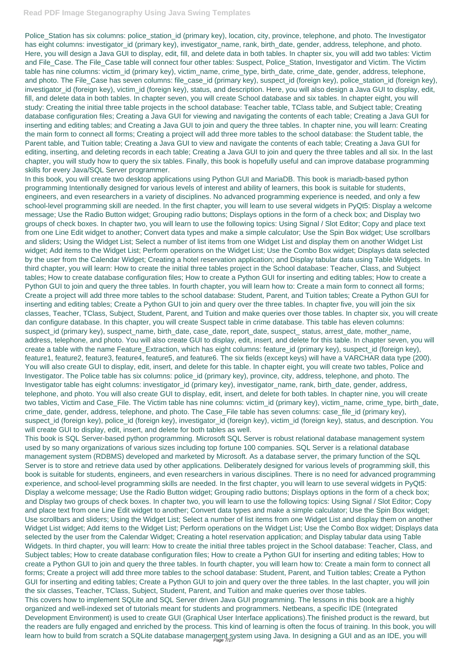Police\_Station has six columns: police\_station\_id (primary key), location, city, province, telephone, and photo. The Investigator has eight columns: investigator\_id (primary key), investigator\_name, rank, birth\_date, gender, address, telephone, and photo. Here, you will design a Java GUI to display, edit, fill, and delete data in both tables. In chapter six, you will add two tables: Victim and File\_Case. The File\_Case table will connect four other tables: Suspect, Police\_Station, Investigator and Victim. The Victim table has nine columns: victim\_id (primary key), victim\_name, crime\_type, birth\_date, crime\_date, gender, address, telephone, and photo. The File\_Case has seven columns: file\_case\_id (primary key), suspect\_id (foreign key), police\_station\_id (foreign key), investigator\_id (foreign key), victim\_id (foreign key), status, and description. Here, you will also design a Java GUI to display, edit, fill, and delete data in both tables. In chapter seven, you will create School database and six tables. In chapter eight, you will study: Creating the initial three table projects in the school database: Teacher table, TClass table, and Subject table; Creating database configuration files; Creating a Java GUI for viewing and navigating the contents of each table; Creating a Java GUI for inserting and editing tables; and Creating a Java GUI to join and query the three tables. In chapter nine, you will learn: Creating the main form to connect all forms; Creating a project will add three more tables to the school database: the Student table, the Parent table, and Tuition table; Creating a Java GUI to view and navigate the contents of each table; Creating a Java GUI for editing, inserting, and deleting records in each table; Creating a Java GUI to join and query the three tables and all six. In the last chapter, you will study how to query the six tables. Finally, this book is hopefully useful and can improve database programming skills for every Java/SQL Server programmer.

This book is SQL Server-based python programming. Microsoft SQL Server is robust relational database management system used by so many organizations of various sizes including top fortune 100 companies. SQL Server is a relational database management system (RDBMS) developed and marketed by Microsoft. As a database server, the primary function of the SQL Server is to store and retrieve data used by other applications. Deliberately designed for various levels of programming skill, this book is suitable for students, engineers, and even researchers in various disciplines. There is no need for advanced programming experience, and school-level programming skills are needed. In the first chapter, you will learn to use several widgets in PyQt5: Display a welcome message; Use the Radio Button widget; Grouping radio buttons; Displays options in the form of a check box; and Display two groups of check boxes. In chapter two, you will learn to use the following topics: Using Signal / Slot Editor; Copy and place text from one Line Edit widget to another; Convert data types and make a simple calculator; Use the Spin Box widget; Use scrollbars and sliders; Using the Widget List; Select a number of list items from one Widget List and display them on another Widget List widget; Add items to the Widget List; Perform operations on the Widget List; Use the Combo Box widget; Displays data selected by the user from the Calendar Widget; Creating a hotel reservation application; and Display tabular data using Table Widgets. In third chapter, you will learn: How to create the initial three tables project in the School database: Teacher, Class, and Subject tables; How to create database configuration files; How to create a Python GUI for inserting and editing tables; How to create a Python GUI to join and query the three tables. In fourth chapter, you will learn how to: Create a main form to connect all forms; Create a project will add three more tables to the school database: Student, Parent, and Tuition tables; Create a Python GUI for inserting and editing tables; Create a Python GUI to join and query over the three tables. In the last chapter, you will join the six classes, Teacher, TClass, Subject, Student, Parent, and Tuition and make queries over those tables. This covers how to implement SQLite and SQL Server driven Java GUI programming. The lessons in this book are a highly organized and well-indexed set of tutorials meant for students and programmers. Netbeans, a specific IDE (Integrated Development Environment) is used to create GUI (Graphical User Interface applications).The finished product is the reward, but the readers are fully engaged and enriched by the process. This kind of learning is often the focus of training. In this book, you will learn how to build from scratch a SQLite database management system using Java. In designing a GUI and as an IDE, you will

In this book, you will create two desktop applications using Python GUI and MariaDB. This book is mariadb-based python programming Intentionally designed for various levels of interest and ability of learners, this book is suitable for students, engineers, and even researchers in a variety of disciplines. No advanced programming experience is needed, and only a few school-level programming skill are needed. In the first chapter, you will learn to use several widgets in PyQt5: Display a welcome message; Use the Radio Button widget; Grouping radio buttons; Displays options in the form of a check box; and Display two groups of check boxes. In chapter two, you will learn to use the following topics: Using Signal / Slot Editor; Copy and place text from one Line Edit widget to another; Convert data types and make a simple calculator; Use the Spin Box widget; Use scrollbars and sliders; Using the Widget List; Select a number of list items from one Widget List and display them on another Widget List widget; Add items to the Widget List; Perform operations on the Widget List; Use the Combo Box widget; Displays data selected by the user from the Calendar Widget; Creating a hotel reservation application; and Display tabular data using Table Widgets. In third chapter, you will learn: How to create the initial three tables project in the School database: Teacher, Class, and Subject tables; How to create database configuration files; How to create a Python GUI for inserting and editing tables; How to create a Python GUI to join and query the three tables. In fourth chapter, you will learn how to: Create a main form to connect all forms; Create a project will add three more tables to the school database: Student, Parent, and Tuition tables; Create a Python GUI for inserting and editing tables; Create a Python GUI to join and query over the three tables. In chapter five, you will join the six classes, Teacher, TClass, Subject, Student, Parent, and Tuition and make queries over those tables. In chapter six, you will create dan configure database. In this chapter, you will create Suspect table in crime database. This table has eleven columns: suspect\_id (primary key), suspect\_name, birth\_date, case\_date, report\_date, suspect\_ status, arrest\_date, mother\_name, address, telephone, and photo. You will also create GUI to display, edit, insert, and delete for this table. In chapter seven, you will create a table with the name Feature\_Extraction, which has eight columns: feature\_id (primary key), suspect\_id (foreign key), feature1, feature2, feature3, feature4, feature5, and feature6. The six fields (except keys) will have a VARCHAR data type (200). You will also create GUI to display, edit, insert, and delete for this table. In chapter eight, you will create two tables, Police and Investigator. The Police table has six columns: police\_id (primary key), province, city, address, telephone, and photo. The Investigator table has eight columns: investigator\_id (primary key), investigator\_name, rank, birth\_date, gender, address, telephone, and photo. You will also create GUI to display, edit, insert, and delete for both tables. In chapter nine, you will create two tables, Victim and Case\_File. The Victim table has nine columns: victim\_id (primary key), victim\_name, crime\_type, birth\_date, crime\_date, gender, address, telephone, and photo. The Case\_File table has seven columns: case\_file\_id (primary key), suspect\_id (foreign key), police\_id (foreign key), investigator\_id (foreign key), victim\_id (foreign key), status, and description. You will create GUI to display, edit, insert, and delete for both tables as well.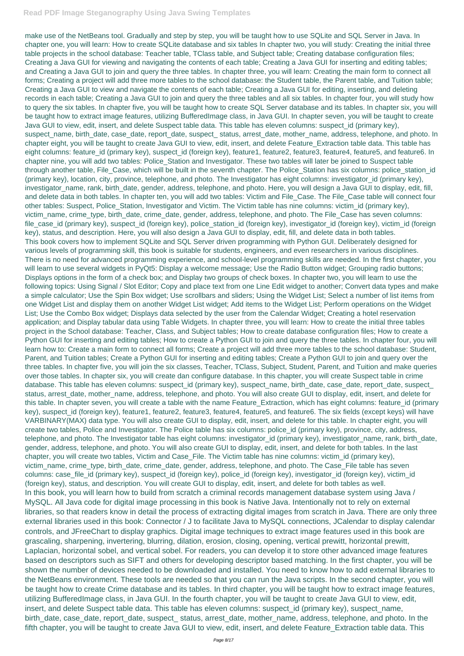make use of the NetBeans tool. Gradually and step by step, you will be taught how to use SQLite and SQL Server in Java. In chapter one, you will learn: How to create SQLite database and six tables In chapter two, you will study: Creating the initial three table projects in the school database: Teacher table, TClass table, and Subject table; Creating database configuration files; Creating a Java GUI for viewing and navigating the contents of each table; Creating a Java GUI for inserting and editing tables; and Creating a Java GUI to join and query the three tables. In chapter three, you will learn: Creating the main form to connect all forms; Creating a project will add three more tables to the school database: the Student table, the Parent table, and Tuition table; Creating a Java GUI to view and navigate the contents of each table; Creating a Java GUI for editing, inserting, and deleting records in each table; Creating a Java GUI to join and query the three tables and all six tables. In chapter four, you will study how to query the six tables. In chapter five, you will be taught how to create SQL Server database and its tables. In chapter six, you will be taught how to extract image features, utilizing BufferedImage class, in Java GUI. In chapter seven, you will be taught to create Java GUI to view, edit, insert, and delete Suspect table data. This table has eleven columns: suspect\_id (primary key), suspect\_name, birth\_date, case\_date, report\_date, suspect\_status, arrest\_date, mother\_name, address, telephone, and photo. In chapter eight, you will be taught to create Java GUI to view, edit, insert, and delete Feature\_Extraction table data. This table has eight columns: feature\_id (primary key), suspect\_id (foreign key), feature1, feature2, feature3, feature4, feature5, and feature6. In chapter nine, you will add two tables: Police\_Station and Investigator. These two tables will later be joined to Suspect table through another table, File\_Case, which will be built in the seventh chapter. The Police\_Station has six columns: police\_station\_id (primary key), location, city, province, telephone, and photo. The Investigator has eight columns: investigator\_id (primary key), investigator\_name, rank, birth\_date, gender, address, telephone, and photo. Here, you will design a Java GUI to display, edit, fill, and delete data in both tables. In chapter ten, you will add two tables: Victim and File\_Case. The File\_Case table will connect four other tables: Suspect, Police\_Station, Investigator and Victim. The Victim table has nine columns: victim\_id (primary key), victim\_name, crime\_type, birth\_date, crime\_date, gender, address, telephone, and photo. The File\_Case has seven columns: file case id (primary key), suspect id (foreign key), police station id (foreign key), investigator id (foreign key), victim id (foreign key), status, and description. Here, you will also design a Java GUI to display, edit, fill, and delete data in both tables. This book covers how to implement SQLite and SQL Server driven programming with Python GUI. Deliberately designed for various levels of programming skill, this book is suitable for students, engineers, and even researchers in various disciplines. There is no need for advanced programming experience, and school-level programming skills are needed. In the first chapter, you will learn to use several widgets in PyQt5: Display a welcome message; Use the Radio Button widget; Grouping radio buttons; Displays options in the form of a check box; and Display two groups of check boxes. In chapter two, you will learn to use the following topics: Using Signal / Slot Editor; Copy and place text from one Line Edit widget to another; Convert data types and make a simple calculator; Use the Spin Box widget; Use scrollbars and sliders; Using the Widget List; Select a number of list items from one Widget List and display them on another Widget List widget; Add items to the Widget List; Perform operations on the Widget List; Use the Combo Box widget; Displays data selected by the user from the Calendar Widget; Creating a hotel reservation application; and Display tabular data using Table Widgets. In chapter three, you will learn: How to create the initial three tables project in the School database: Teacher, Class, and Subject tables; How to create database configuration files; How to create a Python GUI for inserting and editing tables; How to create a Python GUI to join and query the three tables. In chapter four, you will learn how to: Create a main form to connect all forms; Create a project will add three more tables to the school database: Student, Parent, and Tuition tables; Create a Python GUI for inserting and editing tables; Create a Python GUI to join and query over the three tables. In chapter five, you will join the six classes, Teacher, TClass, Subject, Student, Parent, and Tuition and make queries over those tables. In chapter six, you will create dan configure database. In this chapter, you will create Suspect table in crime database. This table has eleven columns: suspect\_id (primary key), suspect\_name, birth\_date, case\_date, report\_date, suspect\_ status, arrest\_date, mother\_name, address, telephone, and photo. You will also create GUI to display, edit, insert, and delete for this table. In chapter seven, you will create a table with the name Feature\_Extraction, which has eight columns: feature\_id (primary key), suspect\_id (foreign key), feature1, feature2, feature3, feature4, feature5, and feature6. The six fields (except keys) will have VARBINARY(MAX) data type. You will also create GUI to display, edit, insert, and delete for this table. In chapter eight, you will create two tables, Police and Investigator. The Police table has six columns: police\_id (primary key), province, city, address, telephone, and photo. The Investigator table has eight columns: investigator\_id (primary key), investigator\_name, rank, birth\_date, gender, address, telephone, and photo. You will also create GUI to display, edit, insert, and delete for both tables. In the last chapter, you will create two tables, Victim and Case\_File. The Victim table has nine columns: victim\_id (primary key), victim\_name, crime\_type, birth\_date, crime\_date, gender, address, telephone, and photo. The Case\_File table has seven columns: case\_file\_id (primary key), suspect\_id (foreign key), police\_id (foreign key), investigator\_id (foreign key), victim\_id (foreign key), status, and description. You will create GUI to display, edit, insert, and delete for both tables as well. In this book, you will learn how to build from scratch a criminal records management database system using Java / MySQL. All Java code for digital image processing in this book is Native Java. Intentionally not to rely on external libraries, so that readers know in detail the process of extracting digital images from scratch in Java. There are only three external libraries used in this book: Connector / J to facilitate Java to MySQL connections, JCalendar to display calendar controls, and JFreeChart to display graphics. Digital image techniques to extract image features used in this book are grascaling, sharpening, invertering, blurring, dilation, erosion, closing, opening, vertical prewitt, horizontal prewitt, Laplacian, horizontal sobel, and vertical sobel. For readers, you can develop it to store other advanced image features based on descriptors such as SIFT and others for developing descriptor based matching. In the first chapter, you will be shown the number of devices needed to be downloaded and installed. You need to know how to add external libraries to the NetBeans environment. These tools are needed so that you can run the Java scripts. In the second chapter, you will be taught how to create Crime database and its tables. In third chapter, you will be taught how to extract image features, utilizing BufferedImage class, in Java GUI. In the fourth chapter, you will be taught to create Java GUI to view, edit, insert, and delete Suspect table data. This table has eleven columns: suspect\_id (primary key), suspect\_name, birth\_date, case\_date, report\_date, suspect\_ status, arrest\_date, mother\_name, address, telephone, and photo. In the fifth chapter, you will be taught to create Java GUI to view, edit, insert, and delete Feature\_Extraction table data. This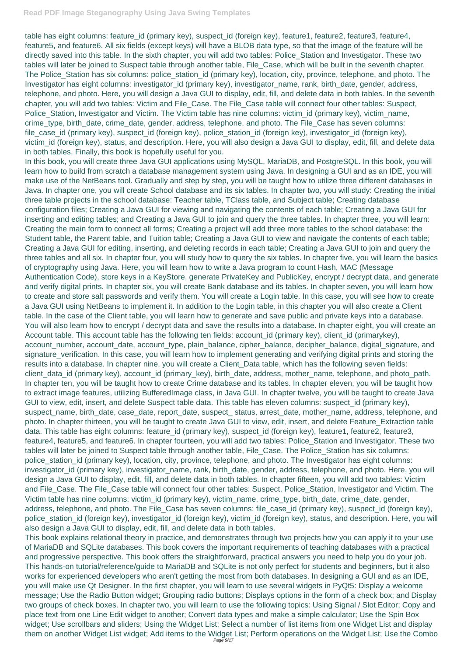table has eight columns: feature\_id (primary key), suspect\_id (foreign key), feature1, feature2, feature3, feature4, feature5, and feature6. All six fields (except keys) will have a BLOB data type, so that the image of the feature will be directly saved into this table. In the sixth chapter, you will add two tables: Police\_Station and Investigator. These two tables will later be joined to Suspect table through another table, File\_Case, which will be built in the seventh chapter. The Police\_Station has six columns: police\_station\_id (primary key), location, city, province, telephone, and photo. The Investigator has eight columns: investigator\_id (primary key), investigator\_name, rank, birth\_date, gender, address, telephone, and photo. Here, you will design a Java GUI to display, edit, fill, and delete data in both tables. In the seventh chapter, you will add two tables: Victim and File\_Case. The File\_Case table will connect four other tables: Suspect, Police\_Station, Investigator and Victim. The Victim table has nine columns: victim\_id (primary key), victim\_name, crime\_type, birth\_date, crime\_date, gender, address, telephone, and photo. The File\_Case has seven columns: file\_case\_id (primary key), suspect\_id (foreign key), police\_station\_id (foreign key), investigator\_id (foreign key), victim\_id (foreign key), status, and description. Here, you will also design a Java GUI to display, edit, fill, and delete data in both tables. Finally, this book is hopefully useful for you.

In this book, you will create three Java GUI applications using MySQL, MariaDB, and PostgreSQL. In this book, you will learn how to build from scratch a database management system using Java. In designing a GUI and as an IDE, you will make use of the NetBeans tool. Gradually and step by step, you will be taught how to utilize three different databases in Java. In chapter one, you will create School database and its six tables. In chapter two, you will study: Creating the initial three table projects in the school database: Teacher table, TClass table, and Subject table; Creating database configuration files; Creating a Java GUI for viewing and navigating the contents of each table; Creating a Java GUI for inserting and editing tables; and Creating a Java GUI to join and query the three tables. In chapter three, you will learn: Creating the main form to connect all forms; Creating a project will add three more tables to the school database: the Student table, the Parent table, and Tuition table; Creating a Java GUI to view and navigate the contents of each table; Creating a Java GUI for editing, inserting, and deleting records in each table; Creating a Java GUI to join and query the three tables and all six. In chapter four, you will study how to query the six tables. In chapter five, you will learn the basics of cryptography using Java. Here, you will learn how to write a Java program to count Hash, MAC (Message Authentication Code), store keys in a KeyStore, generate PrivateKey and PublicKey, encrypt / decrypt data, and generate and verify digital prints. In chapter six, you will create Bank database and its tables. In chapter seven, you will learn how to create and store salt passwords and verify them. You will create a Login table. In this case, you will see how to create a Java GUI using NetBeans to implement it. In addition to the Login table, in this chapter you will also create a Client table. In the case of the Client table, you will learn how to generate and save public and private keys into a database. You will also learn how to encrypt / decrypt data and save the results into a database. In chapter eight, you will create an Account table. This account table has the following ten fields: account\_id (primary key), client\_id (primarykey), account\_number, account\_date, account\_type, plain\_balance, cipher\_balance, decipher\_balance, digital\_signature, and signature verification. In this case, you will learn how to implement generating and verifying digital prints and storing the results into a database. In chapter nine, you will create a Client\_Data table, which has the following seven fields: client\_data\_id (primary key), account\_id (primary\_key), birth\_date, address, mother\_name, telephone, and photo\_path. In chapter ten, you will be taught how to create Crime database and its tables. In chapter eleven, you will be taught how to extract image features, utilizing BufferedImage class, in Java GUI. In chapter twelve, you will be taught to create Java GUI to view, edit, insert, and delete Suspect table data. This table has eleven columns: suspect\_id (primary key), suspect\_name, birth\_date, case\_date, report\_date, suspect\_ status, arrest\_date, mother\_name, address, telephone, and photo. In chapter thirteen, you will be taught to create Java GUI to view, edit, insert, and delete Feature\_Extraction table data. This table has eight columns: feature\_id (primary key), suspect\_id (foreign key), feature1, feature2, feature3, feature4, feature5, and feature6. In chapter fourteen, you will add two tables: Police\_Station and Investigator. These two tables will later be joined to Suspect table through another table, File\_Case. The Police\_Station has six columns: police\_station\_id (primary key), location, city, province, telephone, and photo. The Investigator has eight columns: investigator\_id (primary key), investigator\_name, rank, birth\_date, gender, address, telephone, and photo. Here, you will design a Java GUI to display, edit, fill, and delete data in both tables. In chapter fifteen, you will add two tables: Victim and File\_Case. The File\_Case table will connect four other tables: Suspect, Police\_Station, Investigator and Victim. The

Victim table has nine columns: victim\_id (primary key), victim\_name, crime\_type, birth\_date, crime\_date, gender, address, telephone, and photo. The File Case has seven columns: file case id (primary key), suspect id (foreign key), police\_station\_id (foreign key), investigator\_id (foreign key), victim\_id (foreign key), status, and description. Here, you will also design a Java GUI to display, edit, fill, and delete data in both tables.

This book explains relational theory in practice, and demonstrates through two projects how you can apply it to your use of MariaDB and SQLite databases. This book covers the important requirements of teaching databases with a practical and progressive perspective. This book offers the straightforward, practical answers you need to help you do your job. This hands-on tutorial/reference/guide to MariaDB and SQLite is not only perfect for students and beginners, but it also works for experienced developers who aren't getting the most from both databases. In designing a GUI and as an IDE, you will make use Qt Designer. In the first chapter, you will learn to use several widgets in PyQt5: Display a welcome message; Use the Radio Button widget; Grouping radio buttons; Displays options in the form of a check box; and Display two groups of check boxes. In chapter two, you will learn to use the following topics: Using Signal / Slot Editor; Copy and place text from one Line Edit widget to another; Convert data types and make a simple calculator; Use the Spin Box widget; Use scrollbars and sliders; Using the Widget List; Select a number of list items from one Widget List and display them on another Widget List widget; Add items to the Widget List; Perform operations on the Widget List; Use the Combo Page 9/17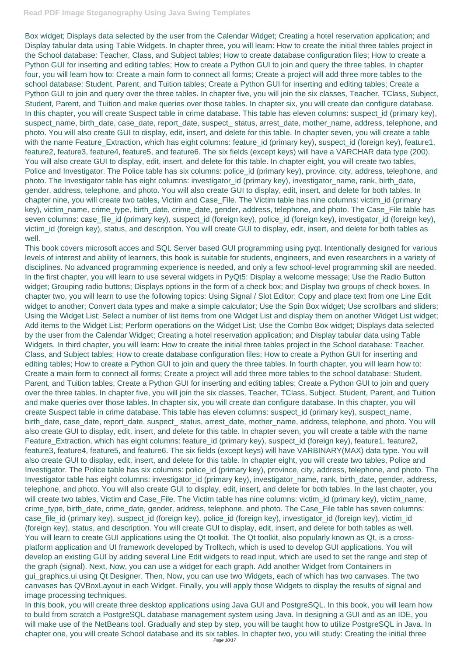Box widget; Displays data selected by the user from the Calendar Widget; Creating a hotel reservation application; and Display tabular data using Table Widgets. In chapter three, you will learn: How to create the initial three tables project in the School database: Teacher, Class, and Subject tables; How to create database configuration files; How to create a Python GUI for inserting and editing tables; How to create a Python GUI to join and query the three tables. In chapter four, you will learn how to: Create a main form to connect all forms; Create a project will add three more tables to the school database: Student, Parent, and Tuition tables; Create a Python GUI for inserting and editing tables; Create a Python GUI to join and query over the three tables. In chapter five, you will join the six classes, Teacher, TClass, Subject, Student, Parent, and Tuition and make queries over those tables. In chapter six, you will create dan configure database. In this chapter, you will create Suspect table in crime database. This table has eleven columns: suspect\_id (primary key), suspect\_name, birth\_date, case\_date, report\_date, suspect\_status, arrest\_date, mother\_name, address, telephone, and photo. You will also create GUI to display, edit, insert, and delete for this table. In chapter seven, you will create a table with the name Feature\_Extraction, which has eight columns: feature\_id (primary key), suspect\_id (foreign key), feature1, feature2, feature3, feature4, feature5, and feature6. The six fields (except keys) will have a VARCHAR data type (200). You will also create GUI to display, edit, insert, and delete for this table. In chapter eight, you will create two tables, Police and Investigator. The Police table has six columns: police\_id (primary key), province, city, address, telephone, and photo. The Investigator table has eight columns: investigator\_id (primary key), investigator\_name, rank, birth\_date, gender, address, telephone, and photo. You will also create GUI to display, edit, insert, and delete for both tables. In chapter nine, you will create two tables, Victim and Case\_File. The Victim table has nine columns: victim\_id (primary key), victim\_name, crime\_type, birth\_date, crime\_date, gender, address, telephone, and photo. The Case\_File table has seven columns: case\_file\_id (primary key), suspect\_id (foreign key), police\_id (foreign key), investigator\_id (foreign key), victim\_id (foreign key), status, and description. You will create GUI to display, edit, insert, and delete for both tables as well.

This book covers microsoft acces and SQL Server based GUI programming using pyqt. Intentionally designed for various levels of interest and ability of learners, this book is suitable for students, engineers, and even researchers in a variety of disciplines. No advanced programming experience is needed, and only a few school-level programming skill are needed. In the first chapter, you will learn to use several widgets in PyQt5: Display a welcome message; Use the Radio Button widget; Grouping radio buttons; Displays options in the form of a check box; and Display two groups of check boxes. In chapter two, you will learn to use the following topics: Using Signal / Slot Editor; Copy and place text from one Line Edit widget to another; Convert data types and make a simple calculator; Use the Spin Box widget; Use scrollbars and sliders; Using the Widget List; Select a number of list items from one Widget List and display them on another Widget List widget; Add items to the Widget List; Perform operations on the Widget List; Use the Combo Box widget; Displays data selected by the user from the Calendar Widget; Creating a hotel reservation application; and Display tabular data using Table Widgets. In third chapter, you will learn: How to create the initial three tables project in the School database: Teacher, Class, and Subject tables; How to create database configuration files; How to create a Python GUI for inserting and editing tables; How to create a Python GUI to join and query the three tables. In fourth chapter, you will learn how to: Create a main form to connect all forms; Create a project will add three more tables to the school database: Student, Parent, and Tuition tables; Create a Python GUI for inserting and editing tables; Create a Python GUI to join and query over the three tables. In chapter five, you will join the six classes, Teacher, TClass, Subject, Student, Parent, and Tuition and make queries over those tables. In chapter six, you will create dan configure database. In this chapter, you will create Suspect table in crime database. This table has eleven columns: suspect\_id (primary key), suspect\_name, birth\_date, case\_date, report\_date, suspect\_ status, arrest\_date, mother\_name, address, telephone, and photo. You will also create GUI to display, edit, insert, and delete for this table. In chapter seven, you will create a table with the name Feature\_Extraction, which has eight columns: feature\_id (primary key), suspect\_id (foreign key), feature1, feature2, feature3, feature4, feature5, and feature6. The six fields (except keys) will have VARBINARY(MAX) data type. You will also create GUI to display, edit, insert, and delete for this table. In chapter eight, you will create two tables, Police and Investigator. The Police table has six columns: police\_id (primary key), province, city, address, telephone, and photo. The Investigator table has eight columns: investigator id (primary key), investigator name, rank, birth date, gender, address, telephone, and photo. You will also create GUI to display, edit, insert, and delete for both tables. In the last chapter, you will create two tables, Victim and Case\_File. The Victim table has nine columns: victim\_id (primary key), victim\_name, crime\_type, birth\_date, crime\_date, gender, address, telephone, and photo. The Case\_File table has seven columns: case\_file\_id (primary key), suspect\_id (foreign key), police\_id (foreign key), investigator\_id (foreign key), victim\_id (foreign key), status, and description. You will create GUI to display, edit, insert, and delete for both tables as well. You will learn to create GUI applications using the Qt toolkit. The Qt toolkit, also popularly known as Qt, is a crossplatform application and UI framework developed by Trolltech, which is used to develop GUI applications. You will develop an existing GUI by adding several Line Edit widgets to read input, which are used to set the range and step of the graph (signal). Next, Now, you can use a widget for each graph. Add another Widget from Containers in gui\_graphics.ui using Qt Designer. Then, Now, you can use two Widgets, each of which has two canvases. The two canvases has QVBoxLayout in each Widget. Finally, you will apply those Widgets to display the results of signal and image processing techniques. In this book, you will create three desktop applications using Java GUI and PostgreSQL. In this book, you will learn how to build from scratch a PostgreSQL database management system using Java. In designing a GUI and as an IDE, you will make use of the NetBeans tool. Gradually and step by step, you will be taught how to utilize PostgreSQL in Java. In chapter one, you will create School database and its six tables. In chapter two, you will study: Creating the initial three Page 10/17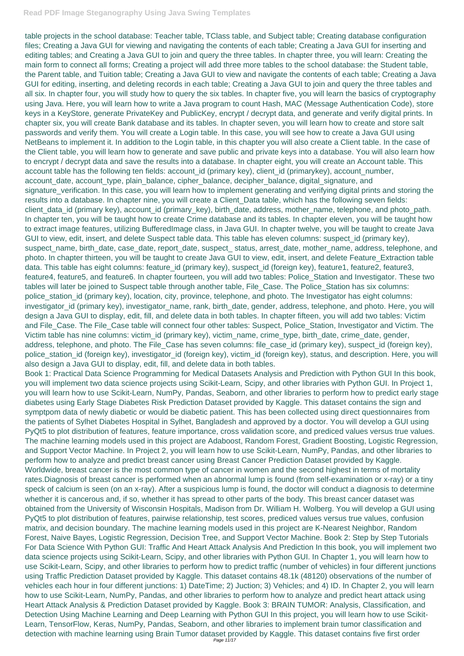Book 1: Practical Data Science Programming for Medical Datasets Analysis and Prediction with Python GUI In this book, you will implement two data science projects using Scikit-Learn, Scipy, and other libraries with Python GUI. In Project 1, you will learn how to use Scikit-Learn, NumPy, Pandas, Seaborn, and other libraries to perform how to predict early stage diabetes using Early Stage Diabetes Risk Prediction Dataset provided by Kaggle. This dataset contains the sign and symptpom data of newly diabetic or would be diabetic patient. This has been collected using direct questionnaires from the patients of Sylhet Diabetes Hospital in Sylhet, Bangladesh and approved by a doctor. You will develop a GUI using PyQt5 to plot distribution of features, feature importance, cross validation score, and prediced values versus true values. The machine learning models used in this project are Adaboost, Random Forest, Gradient Boosting, Logistic Regression, and Support Vector Machine. In Project 2, you will learn how to use Scikit-Learn, NumPy, Pandas, and other libraries to perform how to analyze and predict breast cancer using Breast Cancer Prediction Dataset provided by Kaggle. Worldwide, breast cancer is the most common type of cancer in women and the second highest in terms of mortality rates.Diagnosis of breast cancer is performed when an abnormal lump is found (from self-examination or x-ray) or a tiny speck of calcium is seen (on an x-ray). After a suspicious lump is found, the doctor will conduct a diagnosis to determine whether it is cancerous and, if so, whether it has spread to other parts of the body. This breast cancer dataset was obtained from the University of Wisconsin Hospitals, Madison from Dr. William H. Wolberg. You will develop a GUI using PyQt5 to plot distribution of features, pairwise relationship, test scores, prediced values versus true values, confusion matrix, and decision boundary. The machine learning models used in this project are K-Nearest Neighbor, Random Forest, Naive Bayes, Logistic Regression, Decision Tree, and Support Vector Machine. Book 2: Step by Step Tutorials For Data Science With Python GUI: Traffic And Heart Attack Analysis And Prediction In this book, you will implement two data science projects using Scikit-Learn, Scipy, and other libraries with Python GUI. In Chapter 1, you will learn how to use Scikit-Learn, Scipy, and other libraries to perform how to predict traffic (number of vehicles) in four different junctions using Traffic Prediction Dataset provided by Kaggle. This dataset contains 48.1k (48120) observations of the number of vehicles each hour in four different junctions: 1) DateTime; 2) Juction; 3) Vehicles; and 4) ID. In Chapter 2, you will learn how to use Scikit-Learn, NumPy, Pandas, and other libraries to perform how to analyze and predict heart attack using Heart Attack Analysis & Prediction Dataset provided by Kaggle. Book 3: BRAIN TUMOR: Analysis, Classification, and Detection Using Machine Learning and Deep Learning with Python GUI In this project, you will learn how to use Scikit-Learn, TensorFlow, Keras, NumPy, Pandas, Seaborn, and other libraries to implement brain tumor classification and detection with machine learning using Brain Tumor dataset provided by Kaggle. This dataset contains five first order Page 11/17

table projects in the school database: Teacher table, TClass table, and Subject table; Creating database configuration files; Creating a Java GUI for viewing and navigating the contents of each table; Creating a Java GUI for inserting and editing tables; and Creating a Java GUI to join and query the three tables. In chapter three, you will learn: Creating the main form to connect all forms; Creating a project will add three more tables to the school database: the Student table, the Parent table, and Tuition table; Creating a Java GUI to view and navigate the contents of each table; Creating a Java GUI for editing, inserting, and deleting records in each table; Creating a Java GUI to join and query the three tables and all six. In chapter four, you will study how to query the six tables. In chapter five, you will learn the basics of cryptography using Java. Here, you will learn how to write a Java program to count Hash, MAC (Message Authentication Code), store keys in a KeyStore, generate PrivateKey and PublicKey, encrypt / decrypt data, and generate and verify digital prints. In chapter six, you will create Bank database and its tables. In chapter seven, you will learn how to create and store salt passwords and verify them. You will create a Login table. In this case, you will see how to create a Java GUI using NetBeans to implement it. In addition to the Login table, in this chapter you will also create a Client table. In the case of the Client table, you will learn how to generate and save public and private keys into a database. You will also learn how to encrypt / decrypt data and save the results into a database. In chapter eight, you will create an Account table. This account table has the following ten fields: account\_id (primary key), client\_id (primarykey), account\_number, account\_date, account\_type, plain\_balance, cipher\_balance, decipher\_balance, digital\_signature, and signature\_verification. In this case, you will learn how to implement generating and verifying digital prints and storing the results into a database. In chapter nine, you will create a Client\_Data table, which has the following seven fields: client\_data\_id (primary key), account\_id (primary\_key), birth\_date, address, mother\_name, telephone, and photo\_path. In chapter ten, you will be taught how to create Crime database and its tables. In chapter eleven, you will be taught how to extract image features, utilizing BufferedImage class, in Java GUI. In chapter twelve, you will be taught to create Java GUI to view, edit, insert, and delete Suspect table data. This table has eleven columns: suspect id (primary key), suspect\_name, birth\_date, case\_date, report\_date, suspect\_ status, arrest\_date, mother\_name, address, telephone, and photo. In chapter thirteen, you will be taught to create Java GUI to view, edit, insert, and delete Feature\_Extraction table data. This table has eight columns: feature\_id (primary key), suspect\_id (foreign key), feature1, feature2, feature3, feature4, feature5, and feature6. In chapter fourteen, you will add two tables: Police\_Station and Investigator. These two tables will later be joined to Suspect table through another table, File\_Case. The Police\_Station has six columns: police\_station\_id (primary key), location, city, province, telephone, and photo. The Investigator has eight columns: investigator\_id (primary key), investigator\_name, rank, birth\_date, gender, address, telephone, and photo. Here, you will design a Java GUI to display, edit, fill, and delete data in both tables. In chapter fifteen, you will add two tables: Victim and File\_Case. The File\_Case table will connect four other tables: Suspect, Police\_Station, Investigator and Victim. The Victim table has nine columns: victim\_id (primary key), victim\_name, crime\_type, birth\_date, crime\_date, gender, address, telephone, and photo. The File\_Case has seven columns: file\_case\_id (primary key), suspect\_id (foreign key), police\_station\_id (foreign key), investigator\_id (foreign key), victim\_id (foreign key), status, and description. Here, you will also design a Java GUI to display, edit, fill, and delete data in both tables.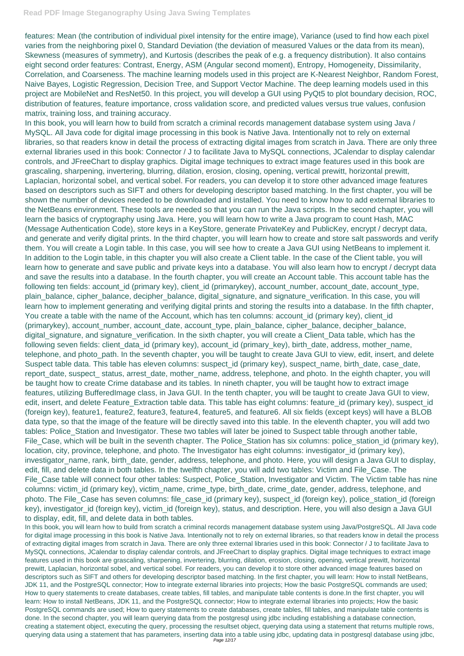features: Mean (the contribution of individual pixel intensity for the entire image), Variance (used to find how each pixel varies from the neighboring pixel 0, Standard Deviation (the deviation of measured Values or the data from its mean), Skewness (measures of symmetry), and Kurtosis (describes the peak of e.g. a frequency distribution). It also contains eight second order features: Contrast, Energy, ASM (Angular second moment), Entropy, Homogeneity, Dissimilarity, Correlation, and Coarseness. The machine learning models used in this project are K-Nearest Neighbor, Random Forest, Naive Bayes, Logistic Regression, Decision Tree, and Support Vector Machine. The deep learning models used in this project are MobileNet and ResNet50. In this project, you will develop a GUI using PyQt5 to plot boundary decision, ROC, distribution of features, feature importance, cross validation score, and predicted values versus true values, confusion matrix, training loss, and training accuracy.

In this book, you will learn how to build from scratch a criminal records management database system using Java / MySQL. All Java code for digital image processing in this book is Native Java. Intentionally not to rely on external libraries, so that readers know in detail the process of extracting digital images from scratch in Java. There are only three external libraries used in this book: Connector / J to facilitate Java to MySQL connections, JCalendar to display calendar controls, and JFreeChart to display graphics. Digital image techniques to extract image features used in this book are grascaling, sharpening, invertering, blurring, dilation, erosion, closing, opening, vertical prewitt, horizontal prewitt, Laplacian, horizontal sobel, and vertical sobel. For readers, you can develop it to store other advanced image features based on descriptors such as SIFT and others for developing descriptor based matching. In the first chapter, you will be shown the number of devices needed to be downloaded and installed. You need to know how to add external libraries to the NetBeans environment. These tools are needed so that you can run the Java scripts. In the second chapter, you will learn the basics of cryptography using Java. Here, you will learn how to write a Java program to count Hash, MAC (Message Authentication Code), store keys in a KeyStore, generate PrivateKey and PublicKey, encrypt / decrypt data, and generate and verify digital prints. In the third chapter, you will learn how to create and store salt passwords and verify them. You will create a Login table. In this case, you will see how to create a Java GUI using NetBeans to implement it. In addition to the Login table, in this chapter you will also create a Client table. In the case of the Client table, you will learn how to generate and save public and private keys into a database. You will also learn how to encrypt / decrypt data and save the results into a database. In the fourth chapter, you will create an Account table. This account table has the following ten fields: account\_id (primary key), client\_id (primarykey), account\_number, account\_date, account\_type, plain\_balance, cipher\_balance, decipher\_balance, digital\_signature, and signature\_verification. In this case, you will learn how to implement generating and verifying digital prints and storing the results into a database. In the fifth chapter, You create a table with the name of the Account, which has ten columns: account id (primary key), client id (primarykey), account\_number, account\_date, account\_type, plain\_balance, cipher\_balance, decipher\_balance, digital\_signature, and signature\_verification. In the sixth chapter, you will create a Client\_Data table, which has the following seven fields: client\_data\_id (primary key), account\_id (primary\_key), birth\_date, address, mother\_name, telephone, and photo\_path. In the seventh chapter, you will be taught to create Java GUI to view, edit, insert, and delete Suspect table data. This table has eleven columns: suspect\_id (primary key), suspect\_name, birth\_date, case\_date, report\_date, suspect\_ status, arrest\_date, mother\_name, address, telephone, and photo. In the eighth chapter, you will be taught how to create Crime database and its tables. In nineth chapter, you will be taught how to extract image features, utilizing BufferedImage class, in Java GUI. In the tenth chapter, you will be taught to create Java GUI to view, edit, insert, and delete Feature\_Extraction table data. This table has eight columns: feature\_id (primary key), suspect\_id (foreign key), feature1, feature2, feature3, feature4, feature5, and feature6. All six fields (except keys) will have a BLOB data type, so that the image of the feature will be directly saved into this table. In the eleventh chapter, you will add two tables: Police\_Station and Investigator. These two tables will later be joined to Suspect table through another table, File\_Case, which will be built in the seventh chapter. The Police\_Station has six columns: police\_station\_id (primary key), location, city, province, telephone, and photo. The Investigator has eight columns: investigator\_id (primary key), investigator\_name, rank, birth\_date, gender, address, telephone, and photo. Here, you will design a Java GUI to display, edit, fill, and delete data in both tables. In the twelfth chapter, you will add two tables: Victim and File\_Case. The File\_Case table will connect four other tables: Suspect, Police\_Station, Investigator and Victim. The Victim table has nine columns: victim\_id (primary key), victim\_name, crime\_type, birth\_date, crime\_date, gender, address, telephone, and

photo. The File\_Case has seven columns: file\_case\_id (primary key), suspect\_id (foreign key), police\_station\_id (foreign key), investigator\_id (foreign key), victim\_id (foreign key), status, and description. Here, you will also design a Java GUI to display, edit, fill, and delete data in both tables.

In this book, you will learn how to build from scratch a criminal records management database system using Java/PostgreSQL. All Java code for digital image processing in this book is Native Java. Intentionally not to rely on external libraries, so that readers know in detail the process of extracting digital images from scratch in Java. There are only three external libraries used in this book: Connector / J to facilitate Java to MySQL connections, JCalendar to display calendar controls, and JFreeChart to display graphics. Digital image techniques to extract image features used in this book are grascaling, sharpening, invertering, blurring, dilation, erosion, closing, opening, vertical prewitt, horizontal prewitt, Laplacian, horizontal sobel, and vertical sobel. For readers, you can develop it to store other advanced image features based on descriptors such as SIFT and others for developing descriptor based matching. In the first chapter, you will learn: How to install NetBeans, JDK 11, and the PostgreSQL connector; How to integrate external libraries into projects; How the basic PostgreSQL commands are used; How to query statements to create databases, create tables, fill tables, and manipulate table contents is done.In the first chapter, you will learn: How to install NetBeans, JDK 11, and the PostgreSQL connector; How to integrate external libraries into projects; How the basic PostgreSQL commands are used; How to query statements to create databases, create tables, fill tables, and manipulate table contents is done. In the second chapter, you will learn querying data from the postgresql using jdbc including establishing a database connection, creating a statement object, executing the query, processing the resultset object, querying data using a statement that returns multiple rows, querying data using a statement that has parameters, inserting data into a table using jdbc, updating data in postgresql database using jdbc, Page 12/17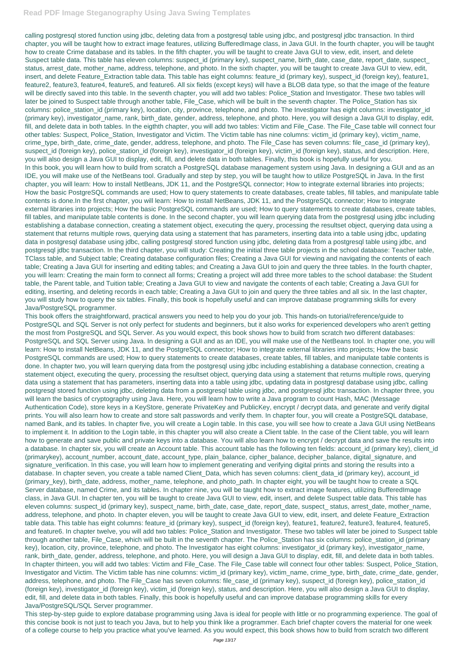calling postgresql stored function using jdbc, deleting data from a postgresql table using jdbc, and postgresql jdbc transaction. In third chapter, you will be taught how to extract image features, utilizing BufferedImage class, in Java GUI. In the fourth chapter, you will be taught how to create Crime database and its tables. In the fifth chapter, you will be taught to create Java GUI to view, edit, insert, and delete Suspect table data. This table has eleven columns: suspect id (primary key), suspect name, birth\_date, case\_date, report\_date, suspect\_ status, arrest\_date, mother\_name, address, telephone, and photo. In the sixth chapter, you will be taught to create Java GUI to view, edit, insert, and delete Feature Extraction table data. This table has eight columns: feature id (primary key), suspect id (foreign key), feature1, feature2, feature3, feature4, feature5, and feature6. All six fields (except keys) will have a BLOB data type, so that the image of the feature will be directly saved into this table. In the seventh chapter, you will add two tables: Police Station and Investigator. These two tables will later be joined to Suspect table through another table, File\_Case, which will be built in the seventh chapter. The Police\_Station has six columns: police\_station\_id (primary key), location, city, province, telephone, and photo. The Investigator has eight columns: investigator\_id (primary key), investigator name, rank, birth date, gender, address, telephone, and photo. Here, you will design a Java GUI to display, edit, fill, and delete data in both tables. In the eigthth chapter, you will add two tables: Victim and File\_Case. The File\_Case table will connect four other tables: Suspect, Police Station, Investigator and Victim. The Victim table has nine columns: victim id (primary key), victim name, crime type, birth date, crime date, gender, address, telephone, and photo. The File Case has seven columns: file case id (primary key), suspect id (foreign key), police station id (foreign key), investigator id (foreign key), victim id (foreign key), status, and description. Here, you will also design a Java GUI to display, edit, fill, and delete data in both tables. Finally, this book is hopefully useful for you. In this book, you will learn how to build from scratch a PostgreSQL database management system using Java. In designing a GUI and as an IDE, you will make use of the NetBeans tool. Gradually and step by step, you will be taught how to utilize PostgreSQL in Java. In the first chapter, you will learn: How to install NetBeans, JDK 11, and the PostgreSQL connector; How to integrate external libraries into projects; How the basic PostgreSQL commands are used; How to query statements to create databases, create tables, fill tables, and manipulate table contents is done.In the first chapter, you will learn: How to install NetBeans, JDK 11, and the PostgreSQL connector; How to integrate external libraries into projects; How the basic PostgreSQL commands are used; How to query statements to create databases, create tables, fill tables, and manipulate table contents is done. In the second chapter, you will learn querying data from the postgresql using jdbc including establishing a database connection, creating a statement object, executing the query, processing the resultset object, querying data using a statement that returns multiple rows, querying data using a statement that has parameters, inserting data into a table using jdbc, updating data in postgresql database using jdbc, calling postgresql stored function using jdbc, deleting data from a postgresql table using jdbc, and postgresql jdbc transaction. In the third chapter, you will study: Creating the initial three table projects in the school database: Teacher table, TClass table, and Subject table; Creating database configuration files; Creating a Java GUI for viewing and navigating the contents of each table; Creating a Java GUI for inserting and editing tables; and Creating a Java GUI to join and query the three tables. In the fourth chapter, you will learn: Creating the main form to connect all forms; Creating a project will add three more tables to the school database: the Student table, the Parent table, and Tuition table; Creating a Java GUI to view and navigate the contents of each table; Creating a Java GUI for editing, inserting, and deleting records in each table; Creating a Java GUI to join and query the three tables and all six. In the last chapter, you will study how to query the six tables. Finally, this book is hopefully useful and can improve database programming skills for every Java/PostgreSQL programmer.

This book offers the straightforward, practical answers you need to help you do your job. This hands-on tutorial/reference/guide to PostgreSQL and SQL Server is not only perfect for students and beginners, but it also works for experienced developers who aren't getting the most from PostgreSQL and SQL Server. As you would expect, this book shows how to build from scratch two different databases: PostgreSQL and SQL Server using Java. In designing a GUI and as an IDE, you will make use of the NetBeans tool. In chapter one, you will learn: How to install NetBeans, JDK 11, and the PostgreSQL connector; How to integrate external libraries into projects; How the basic PostgreSQL commands are used; How to query statements to create databases, create tables, fill tables, and manipulate table contents is done. In chapter two, you will learn querying data from the postgresql using jdbc including establishing a database connection, creating a statement object, executing the query, processing the resultset object, querying data using a statement that returns multiple rows, querying data using a statement that has parameters, inserting data into a table using jdbc, updating data in postgresql database using jdbc, calling postgresql stored function using jdbc, deleting data from a postgresql table using jdbc, and postgresql jdbc transaction. In chapter three, you will learn the basics of cryptography using Java. Here, you will learn how to write a Java program to count Hash, MAC (Message Authentication Code), store keys in a KeyStore, generate PrivateKey and PublicKey, encrypt / decrypt data, and generate and verify digital prints. You will also learn how to create and store salt passwords and verify them. In chapter four, you will create a PostgreSQL database, named Bank, and its tables. In chapter five, you will create a Login table. In this case, you will see how to create a Java GUI using NetBeans to implement it. In addition to the Login table, in this chapter you will also create a Client table. In the case of the Client table, you will learn how to generate and save public and private keys into a database. You will also learn how to encrypt / decrypt data and save the results into a database. In chapter six, you will create an Account table. This account table has the following ten fields: account\_id (primary key), client\_id (primarykey), account\_number, account\_date, account\_type, plain\_balance, cipher\_balance, decipher\_balance, digital\_signature, and signature\_verification. In this case, you will learn how to implement generating and verifying digital prints and storing the results into a database. In chapter seven, you create a table named Client\_Data, which has seven columns: client\_data\_id (primary key), account\_id (primary key), birth date, address, mother name, telephone, and photo path. In chapter eight, you will be taught how to create a SQL Server database, named Crime, and its tables. In chapter nine, you will be taught how to extract image features, utilizing BufferedImage class, in Java GUI. In chapter ten, you will be taught to create Java GUI to view, edit, insert, and delete Suspect table data. This table has eleven columns: suspect\_id (primary key), suspect\_name, birth\_date, case\_date, report\_date, suspect\_ status, arrest\_date, mother\_name, address, telephone, and photo. In chapter eleven, you will be taught to create Java GUI to view, edit, insert, and delete Feature\_Extraction table data. This table has eight columns: feature\_id (primary key), suspect\_id (foreign key), feature1, feature2, feature3, feature4, feature5, and feature6. In chapter twelve, you will add two tables: Police\_Station and Investigator. These two tables will later be joined to Suspect table through another table, File\_Case, which will be built in the seventh chapter. The Police\_Station has six columns: police\_station\_id (primary key), location, city, province, telephone, and photo. The Investigator has eight columns: investigator\_id (primary key), investigator\_name, rank, birth\_date, gender, address, telephone, and photo. Here, you will design a Java GUI to display, edit, fill, and delete data in both tables. In chapter thirteen, you will add two tables: Victim and File\_Case. The File\_Case table will connect four other tables: Suspect, Police\_Station, Investigator and Victim. The Victim table has nine columns: victim\_id (primary key), victim\_name, crime\_type, birth\_date, crime\_date, gender, address, telephone, and photo. The File\_Case has seven columns: file\_case\_id (primary key), suspect\_id (foreign key), police\_station\_id (foreign key), investigator\_id (foreign key), victim\_id (foreign key), status, and description. Here, you will also design a Java GUI to display, edit, fill, and delete data in both tables. Finally, this book is hopefully useful and can improve database programming skills for every Java/PostgreSQL/SQL Server programmer.

This step-by-step guide to explore database programming using Java is ideal for people with little or no programming experience. The goal of this concise book is not just to teach you Java, but to help you think like a programmer. Each brief chapter covers the material for one week of a college course to help you practice what you've learned. As you would expect, this book shows how to build from scratch two different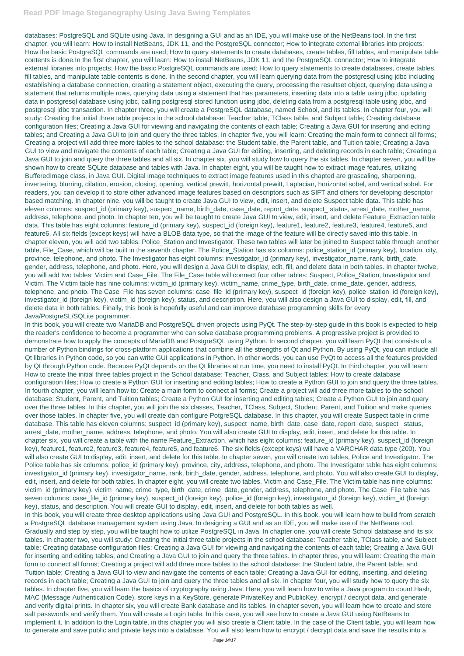databases: PostgreSQL and SQLite using Java. In designing a GUI and as an IDE, you will make use of the NetBeans tool. In the first chapter, you will learn: How to install NetBeans, JDK 11, and the PostgreSQL connector; How to integrate external libraries into projects; How the basic PostgreSQL commands are used; How to query statements to create databases, create tables, fill tables, and manipulate table contents is done.In the first chapter, you will learn: How to install NetBeans, JDK 11, and the PostgreSQL connector; How to integrate external libraries into projects; How the basic PostgreSQL commands are used; How to query statements to create databases, create tables, fill tables, and manipulate table contents is done. In the second chapter, you will learn querying data from the postgresql using jdbc including establishing a database connection, creating a statement object, executing the query, processing the resultset object, querying data using a statement that returns multiple rows, querying data using a statement that has parameters, inserting data into a table using jdbc, updating data in postgresql database using jdbc, calling postgresql stored function using jdbc, deleting data from a postgresql table using jdbc, and postgresql jdbc transaction. In chapter three, you will create a PostgreSQL database, named School, and its tables. In chapter four, you will study: Creating the initial three table projects in the school database: Teacher table, TClass table, and Subject table; Creating database configuration files; Creating a Java GUI for viewing and navigating the contents of each table; Creating a Java GUI for inserting and editing tables; and Creating a Java GUI to join and query the three tables. In chapter five, you will learn: Creating the main form to connect all forms; Creating a project will add three more tables to the school database: the Student table, the Parent table, and Tuition table; Creating a Java GUI to view and navigate the contents of each table; Creating a Java GUI for editing, inserting, and deleting records in each table; Creating a Java GUI to join and query the three tables and all six. In chapter six, you will study how to query the six tables. In chapter seven, you will be shown how to create SQLite database and tables with Java. In chapter eight, you will be taught how to extract image features, utilizing BufferedImage class, in Java GUI. Digital image techniques to extract image features used in this chapted are grascaling, sharpening, invertering, blurring, dilation, erosion, closing, opening, vertical prewitt, horizontal prewitt, Laplacian, horizontal sobel, and vertical sobel. For readers, you can develop it to store other advanced image features based on descriptors such as SIFT and others for developing descriptor based matching. In chapter nine, you will be taught to create Java GUI to view, edit, insert, and delete Suspect table data. This table has eleven columns: suspect id (primary key), suspect name, birth date, case date, report date, suspect status, arrest date, mother name, address, telephone, and photo. In chapter ten, you will be taught to create Java GUI to view, edit, insert, and delete Feature Extraction table data. This table has eight columns: feature\_id (primary key), suspect\_id (foreign key), feature1, feature2, feature3, feature4, feature5, and feature6. All six fields (except keys) will have a BLOB data type, so that the image of the feature will be directly saved into this table. In chapter eleven, you will add two tables: Police\_Station and Investigator. These two tables will later be joined to Suspect table through another table, File Case, which will be built in the seventh chapter. The Police Station has six columns: police station id (primary key), location, city, province, telephone, and photo. The Investigator has eight columns: investigator id (primary key), investigator name, rank, birth date, gender, address, telephone, and photo. Here, you will design a Java GUI to display, edit, fill, and delete data in both tables. In chapter twelve, you will add two tables: Victim and Case\_File. The File\_Case table will connect four other tables: Suspect, Police\_Station, Investigator and Victim. The Victim table has nine columns: victim\_id (primary key), victim\_name, crime\_type, birth\_date, crime\_date, gender, address, telephone, and photo. The Case\_File has seven columns: case\_file\_id (primary key), suspect\_id (foreign key), police\_station\_id (foreign key), investigator\_id (foreign key), victim\_id (foreign key), status, and description. Here, you will also design a Java GUI to display, edit, fill, and delete data in both tables. Finally, this book is hopefully useful and can improve database programming skills for every Java/PostgreSL/SQLite pogrammer.

In this book, you will create two MariaDB and PostgreSQL driven projects using PyQt. The step-by-step guide in this book is expected to help the reader's confidence to become a programmer who can solve database programming problems. A progressive project is provided to demonstrate how to apply the concepts of MariaDB and PostgreSQL using Python. In second chapter, you will learn PyQt that consists of a number of Python bindings for cross-platform applications that combine all the strengths of Qt and Python. By using PyQt, you can include all Qt libraries in Python code, so you can write GUI applications in Python. In other words, you can use PyQt to access all the features provided by Qt through Python code. Because PyQt depends on the Qt libraries at run time, you need to install PyQt. In third chapter, you will learn: How to create the initial three tables project in the School database: Teacher, Class, and Subject tables; How to create database configuration files; How to create a Python GUI for inserting and editing tables; How to create a Python GUI to join and query the three tables. In fourth chapter, you will learn how to: Create a main form to connect all forms; Create a project will add three more tables to the school database: Student, Parent, and Tuition tables; Create a Python GUI for inserting and editing tables; Create a Python GUI to join and query over the three tables. In this chapter, you will join the six classes, Teacher, TClass, Subject, Student, Parent, and Tuition and make queries over those tables. In chapter five, you will create dan configure PotgreSQL database. In this chapter, you will create Suspect table in crime database. This table has eleven columns: suspect\_id (primary key), suspect\_name, birth\_date, case\_date, report\_date, suspect\_ status, arrest\_date, mother\_name, address, telephone, and photo. You will also create GUI to display, edit, insert, and delete for this table. In chapter six, you will create a table with the name Feature\_Extraction, which has eight columns: feature\_id (primary key), suspect\_id (foreign key), feature1, feature2, feature3, feature4, feature5, and feature6. The six fields (except keys) will have a VARCHAR data type (200). You will also create GUI to display, edit, insert, and delete for this table. In chapter seven, you will create two tables, Police and Investigator. The Police table has six columns: police\_id (primary key), province, city, address, telephone, and photo. The Investigator table has eight columns: investigator\_id (primary key), investigator\_name, rank, birth\_date, gender, address, telephone, and photo. You will also create GUI to display, edit, insert, and delete for both tables. In chapter eight, you will create two tables, Victim and Case\_File. The Victim table has nine columns: victim\_id (primary key), victim\_name, crime\_type, birth\_date, crime\_date, gender, address, telephone, and photo. The Case\_File table has

seven columns: case\_file\_id (primary key), suspect\_id (foreign key), police\_id (foreign key), investigator\_id (foreign key), victim\_id (foreign key), status, and description. You will create GUI to display, edit, insert, and delete for both tables as well.

In this book, you will create three desktop applications using Java GUI and PostgreSQL. In this book, you will learn how to build from scratch a PostgreSQL database management system using Java. In designing a GUI and as an IDE, you will make use of the NetBeans tool.

Gradually and step by step, you will be taught how to utilize PostgreSQL in Java. In chapter one, you will create School database and its six tables. In chapter two, you will study: Creating the initial three table projects in the school database: Teacher table, TClass table, and Subject table; Creating database configuration files; Creating a Java GUI for viewing and navigating the contents of each table; Creating a Java GUI for inserting and editing tables; and Creating a Java GUI to join and query the three tables. In chapter three, you will learn: Creating the main form to connect all forms; Creating a project will add three more tables to the school database: the Student table, the Parent table, and Tuition table; Creating a Java GUI to view and navigate the contents of each table; Creating a Java GUI for editing, inserting, and deleting records in each table; Creating a Java GUI to join and query the three tables and all six. In chapter four, you will study how to query the six tables. In chapter five, you will learn the basics of cryptography using Java. Here, you will learn how to write a Java program to count Hash, MAC (Message Authentication Code), store keys in a KeyStore, generate PrivateKey and PublicKey, encrypt / decrypt data, and generate and verify digital prints. In chapter six, you will create Bank database and its tables. In chapter seven, you will learn how to create and store salt passwords and verify them. You will create a Login table. In this case, you will see how to create a Java GUI using NetBeans to implement it. In addition to the Login table, in this chapter you will also create a Client table. In the case of the Client table, you will learn how to generate and save public and private keys into a database. You will also learn how to encrypt / decrypt data and save the results into a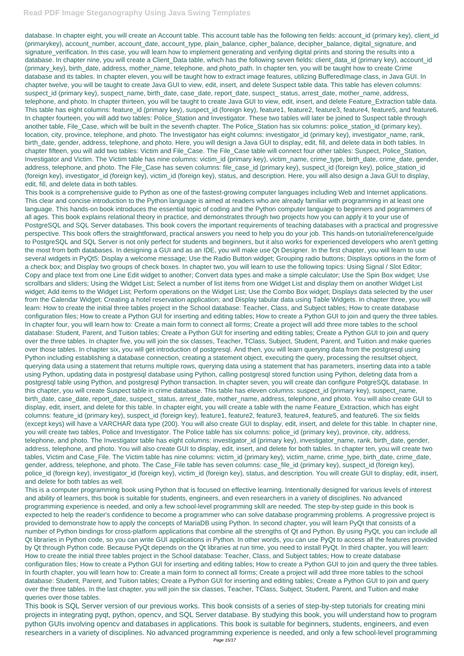database. In chapter eight, you will create an Account table. This account table has the following ten fields: account\_id (primary key), client\_id (primarykey), account\_number, account\_date, account\_type, plain\_balance, cipher\_balance, decipher\_balance, digital\_signature, and signature\_verification. In this case, you will learn how to implement generating and verifying digital prints and storing the results into a database. In chapter nine, you will create a Client\_Data table, which has the following seven fields: client\_data\_id (primary key), account\_id (primary\_key), birth\_date, address, mother\_name, telephone, and photo\_path. In chapter ten, you will be taught how to create Crime database and its tables. In chapter eleven, you will be taught how to extract image features, utilizing BufferedImage class, in Java GUI. In chapter twelve, you will be taught to create Java GUI to view, edit, insert, and delete Suspect table data. This table has eleven columns: suspect id (primary key), suspect name, birth date, case date, report date, suspect status, arrest date, mother name, address, telephone, and photo. In chapter thirteen, you will be taught to create Java GUI to view, edit, insert, and delete Feature\_Extraction table data. This table has eight columns: feature id (primary key), suspect id (foreign key), feature1, feature2, feature3, feature4, feature5, and feature6. In chapter fourteen, you will add two tables: Police Station and Investigator. These two tables will later be joined to Suspect table through another table, File\_Case, which will be built in the seventh chapter. The Police\_Station has six columns: police\_station\_id (primary key), location, city, province, telephone, and photo. The Investigator has eight columns: investigator id (primary key), investigator name, rank, birth date, gender, address, telephone, and photo. Here, you will design a Java GUI to display, edit, fill, and delete data in both tables. In chapter fifteen, you will add two tables: Victim and File\_Case. The File\_Case table will connect four other tables: Suspect, Police\_Station, Investigator and Victim. The Victim table has nine columns: victim\_id (primary key), victim\_name, crime, type, birth\_date, crime\_date, gender, address, telephone, and photo. The File Case has seven columns: file case id (primary key), suspect id (foreign key), police station id (foreign key), investigator\_id (foreign key), victim\_id (foreign key), status, and description. Here, you will also design a Java GUI to display, edit, fill, and delete data in both tables.

This book is a comprehensive guide to Python as one of the fastest-growing computer languages including Web and Internet applications. This clear and concise introduction to the Python language is aimed at readers who are already familiar with programming in at least one language. This hands-on book introduces the essential topic of coding and the Python computer language to beginners and pogrammers of all ages. This book explains relational theory in practice, and demonstrates through two projects how you can apply it to your use of PostgreSQL and SQL Server databases. This book covers the important requirements of teaching databases with a practical and progressive perspective. This book offers the straightforward, practical answers you need to help you do your job. This hands-on tutorial/reference/guide to PostgreSQL and SQL Server is not only perfect for students and beginners, but it also works for experienced developers who aren't getting the most from both databases. In designing a GUI and as an IDE, you will make use Qt Designer. In the first chapter, you will learn to use several widgets in PyQt5: Display a welcome message; Use the Radio Button widget; Grouping radio buttons; Displays options in the form of a check box; and Display two groups of check boxes. In chapter two, you will learn to use the following topics: Using Signal / Slot Editor; Copy and place text from one Line Edit widget to another; Convert data types and make a simple calculator; Use the Spin Box widget; Use scrollbars and sliders; Using the Widget List; Select a number of list items from one Widget List and display them on another Widget List widget; Add items to the Widget List; Perform operations on the Widget List; Use the Combo Box widget; Displays data selected by the user from the Calendar Widget; Creating a hotel reservation application; and Display tabular data using Table Widgets. In chapter three, you will learn: How to create the initial three tables project in the School database: Teacher, Class, and Subject tables; How to create database configuration files; How to create a Python GUI for inserting and editing tables; How to create a Python GUI to join and query the three tables. In chapter four, you will learn how to: Create a main form to connect all forms; Create a project will add three more tables to the school database: Student, Parent, and Tuition tables; Create a Python GUI for inserting and editing tables; Create a Python GUI to join and query over the three tables. In chapter five, you will join the six classes, Teacher, TClass, Subject, Student, Parent, and Tuition and make queries over those tables. In chapter six, you will get introduction of postgresql. And then, you will learn querying data from the postgresql using Python including establishing a database connection, creating a statement object, executing the query, processing the resultset object, querying data using a statement that returns multiple rows, querying data using a statement that has parameters, inserting data into a table using Python, updating data in postgresql database using Python, calling postgresql stored function using Python, deleting data from a postgresql table using Python, and postgresql Python transaction. In chapter seven, you will create dan configure PotgreSQL database. In this chapter, you will create Suspect table in crime database. This table has eleven columns: suspect\_id (primary key), suspect\_name, birth\_date, case\_date, report\_date, suspect\_ status, arrest\_date, mother\_name, address, telephone, and photo. You will also create GUI to display, edit, insert, and delete for this table. In chapter eight, you will create a table with the name Feature\_Extraction, which has eight columns: feature\_id (primary key), suspect\_id (foreign key), feature1, feature2, feature3, feature4, feature5, and feature6. The six fields (except keys) will have a VARCHAR data type (200). You will also create GUI to display, edit, insert, and delete for this table. In chapter nine, you will create two tables, Police and Investigator. The Police table has six columns: police\_id (primary key), province, city, address, telephone, and photo. The Investigator table has eight columns: investigator\_id (primary key), investigator\_name, rank, birth\_date, gender, address, telephone, and photo. You will also create GUI to display, edit, insert, and delete for both tables. In chapter ten, you will create two tables, Victim and Case\_File. The Victim table has nine columns: victim\_id (primary key), victim\_name, crime\_type, birth\_date, crime\_date, gender, address, telephone, and photo. The Case\_File table has seven columns: case\_file\_id (primary key), suspect\_id (foreign key), police\_id (foreign key), investigator\_id (foreign key), victim\_id (foreign key), status, and description. You will create GUI to display, edit, insert, and delete for both tables as well.

This is a computer programming book using Python that is focused on effective learning. Intentionally designed for various levels of interest and ability of learners, this book is suitable for students, engineers, and even researchers in a variety of disciplines. No advanced programming experience is needed, and only a few school-level programming skill are needed. The step-by-step guide in this book is expected to help the reader's confidence to become a programmer who can solve database programming problems. A progressive project is provided to demonstrate how to apply the concepts of MariaDB using Python. In second chapter, you will learn PyQt that consists of a number of Python bindings for cross-platform applications that combine all the strengths of Qt and Python. By using PyQt, you can include all Qt libraries in Python code, so you can write GUI applications in Python. In other words, you can use PyQt to access all the features provided by Qt through Python code. Because PyQt depends on the Qt libraries at run time, you need to install PyQt. In third chapter, you will learn: How to create the initial three tables project in the School database: Teacher, Class, and Subject tables; How to create database configuration files; How to create a Python GUI for inserting and editing tables; How to create a Python GUI to join and query the three tables. In fourth chapter, you will learn how to: Create a main form to connect all forms; Create a project will add three more tables to the school database: Student, Parent, and Tuition tables; Create a Python GUI for inserting and editing tables; Create a Python GUI to join and query over the three tables. In the last chapter, you will join the six classes, Teacher, TClass, Subject, Student, Parent, and Tuition and make queries over those tables. This book is SQL Server version of our previous works. This book consists of a series of step-by-step tutorials for creating mini projects in integrating pyqt, python, opencv, and SQL Server database. By studying this book, you will understand how to program python GUIs involving opencv and databases in applications. This book is suitable for beginners, students, engineers, and even researchers in a variety of disciplines. No advanced programming experience is needed, and only a few school-level programming Page 15/17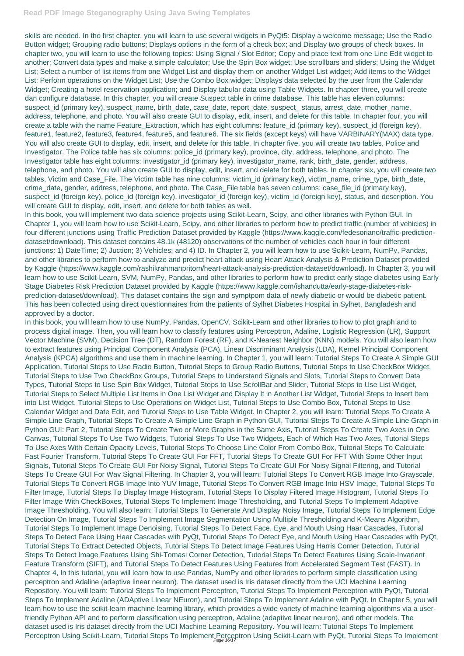skills are needed. In the first chapter, you will learn to use several widgets in PyQt5: Display a welcome message; Use the Radio Button widget; Grouping radio buttons; Displays options in the form of a check box; and Display two groups of check boxes. In chapter two, you will learn to use the following topics: Using Signal / Slot Editor; Copy and place text from one Line Edit widget to another; Convert data types and make a simple calculator; Use the Spin Box widget; Use scrollbars and sliders; Using the Widget List; Select a number of list items from one Widget List and display them on another Widget List widget; Add items to the Widget List; Perform operations on the Widget List; Use the Combo Box widget; Displays data selected by the user from the Calendar Widget; Creating a hotel reservation application; and Display tabular data using Table Widgets. In chapter three, you will create dan configure database. In this chapter, you will create Suspect table in crime database. This table has eleven columns: suspect\_id (primary key), suspect\_name, birth\_date, case\_date, report\_date, suspect\_status, arrest\_date, mother\_name, address, telephone, and photo. You will also create GUI to display, edit, insert, and delete for this table. In chapter four, you will create a table with the name Feature\_Extraction, which has eight columns: feature\_id (primary key), suspect\_id (foreign key), feature1, feature2, feature3, feature4, feature5, and feature6. The six fields (except keys) will have VARBINARY(MAX) data type. You will also create GUI to display, edit, insert, and delete for this table. In chapter five, you will create two tables, Police and Investigator. The Police table has six columns: police\_id (primary key), province, city, address, telephone, and photo. The Investigator table has eight columns: investigator\_id (primary key), investigator\_name, rank, birth\_date, gender, address, telephone, and photo. You will also create GUI to display, edit, insert, and delete for both tables. In chapter six, you will create two tables, Victim and Case\_File. The Victim table has nine columns: victim\_id (primary key), victim\_name, crime\_type, birth\_date, crime\_date, gender, address, telephone, and photo. The Case\_File table has seven columns: case\_file\_id (primary key), suspect\_id (foreign key), police\_id (foreign key), investigator\_id (foreign key), victim\_id (foreign key), status, and description. You will create GUI to display, edit, insert, and delete for both tables as well.

In this book, you will learn how to use NumPy, Pandas, OpenCV, Scikit-Learn and other libraries to how to plot graph and to process digital image. Then, you will learn how to classify features using Perceptron, Adaline, Logistic Regression (LR), Support Vector Machine (SVM), Decision Tree (DT), Random Forest (RF), and K-Nearest Neighbor (KNN) models. You will also learn how to extract features using Principal Component Analysis (PCA), Linear Discriminant Analysis (LDA), Kernel Principal Component Analysis (KPCA) algorithms and use them in machine learning. In Chapter 1, you will learn: Tutorial Steps To Create A Simple GUI Application, Tutorial Steps to Use Radio Button, Tutorial Steps to Group Radio Buttons, Tutorial Steps to Use CheckBox Widget, Tutorial Steps to Use Two CheckBox Groups, Tutorial Steps to Understand Signals and Slots, Tutorial Steps to Convert Data Types, Tutorial Steps to Use Spin Box Widget, Tutorial Steps to Use ScrollBar and Slider, Tutorial Steps to Use List Widget, Tutorial Steps to Select Multiple List Items in One List Widget and Display It in Another List Widget, Tutorial Steps to Insert Item into List Widget, Tutorial Steps to Use Operations on Widget List, Tutorial Steps to Use Combo Box, Tutorial Steps to Use Calendar Widget and Date Edit, and Tutorial Steps to Use Table Widget. In Chapter 2, you will learn: Tutorial Steps To Create A Simple Line Graph, Tutorial Steps To Create A Simple Line Graph in Python GUI, Tutorial Steps To Create A Simple Line Graph in Python GUI: Part 2, Tutorial Steps To Create Two or More Graphs in the Same Axis, Tutorial Steps To Create Two Axes in One Canvas, Tutorial Steps To Use Two Widgets, Tutorial Steps To Use Two Widgets, Each of Which Has Two Axes, Tutorial Steps To Use Axes With Certain Opacity Levels, Tutorial Steps To Choose Line Color From Combo Box, Tutorial Steps To Calculate Fast Fourier Transform, Tutorial Steps To Create GUI For FFT, Tutorial Steps To Create GUI For FFT With Some Other Input Signals, Tutorial Steps To Create GUI For Noisy Signal, Tutorial Steps To Create GUI For Noisy Signal Filtering, and Tutorial Steps To Create GUI For Wav Signal Filtering. In Chapter 3, you will learn: Tutorial Steps To Convert RGB Image Into Grayscale, Tutorial Steps To Convert RGB Image Into YUV Image, Tutorial Steps To Convert RGB Image Into HSV Image, Tutorial Steps To Filter Image, Tutorial Steps To Display Image Histogram, Tutorial Steps To Display Filtered Image Histogram, Tutorial Steps To Filter Image With CheckBoxes, Tutorial Steps To Implement Image Thresholding, and Tutorial Steps To Implement Adaptive Image Thresholding. You will also learn: Tutorial Steps To Generate And Display Noisy Image, Tutorial Steps To Implement Edge Detection On Image, Tutorial Steps To Implement Image Segmentation Using Multiple Thresholding and K-Means Algorithm, Tutorial Steps To Implement Image Denoising, Tutorial Steps To Detect Face, Eye, and Mouth Using Haar Cascades, Tutorial Steps To Detect Face Using Haar Cascades with PyQt, Tutorial Steps To Detect Eye, and Mouth Using Haar Cascades with PyQt, Tutorial Steps To Extract Detected Objects, Tutorial Steps To Detect Image Features Using Harris Corner Detection, Tutorial Steps To Detect Image Features Using Shi-Tomasi Corner Detection, Tutorial Steps To Detect Features Using Scale-Invariant Feature Transform (SIFT), and Tutorial Steps To Detect Features Using Features from Accelerated Segment Test (FAST). In Chapter 4, In this tutorial, you will learn how to use Pandas, NumPy and other libraries to perform simple classification using perceptron and Adaline (adaptive linear neuron). The dataset used is Iris dataset directly from the UCI Machine Learning Repository. You will learn: Tutorial Steps To Implement Perceptron, Tutorial Steps To Implement Perceptron with PyQt, Tutorial Steps To Implement Adaline (ADAptive LInear NEuron), and Tutorial Steps To Implement Adaline with PyQt. In Chapter 5, you will learn how to use the scikit-learn machine learning library, which provides a wide variety of machine learning algorithms via a userfriendly Python API and to perform classification using perceptron, Adaline (adaptive linear neuron), and other models. The dataset used is Iris dataset directly from the UCI Machine Learning Repository. You will learn: Tutorial Steps To Implement Perceptron Using Scikit-Learn, Tutorial Steps To Implement Perceptron Using Scikit-Learn with PyQt, Tutorial Steps To Implement

In this book, you will implement two data science projects using Scikit-Learn, Scipy, and other libraries with Python GUI. In Chapter 1, you will learn how to use Scikit-Learn, Scipy, and other libraries to perform how to predict traffic (number of vehicles) in four different junctions using Traffic Prediction Dataset provided by Kaggle (https://www.kaggle.com/fedesoriano/traffic-predictiondataset/download). This dataset contains 48.1k (48120) observations of the number of vehicles each hour in four different junctions: 1) DateTime; 2) Juction; 3) Vehicles; and 4) ID. In Chapter 2, you will learn how to use Scikit-Learn, NumPy, Pandas, and other libraries to perform how to analyze and predict heart attack using Heart Attack Analysis & Prediction Dataset provided by Kaggle (https://www.kaggle.com/rashikrahmanpritom/heart-attack-analysis-prediction-dataset/download). In Chapter 3, you will learn how to use Scikit-Learn, SVM, NumPy, Pandas, and other libraries to perform how to predict early stage diabetes using Early Stage Diabetes Risk Prediction Dataset provided by Kaggle (https://www.kaggle.com/ishandutta/early-stage-diabetes-riskprediction-dataset/download). This dataset contains the sign and symptpom data of newly diabetic or would be diabetic patient. This has been collected using direct questionnaires from the patients of Sylhet Diabetes Hospital in Sylhet, Bangladesh and approved by a doctor.